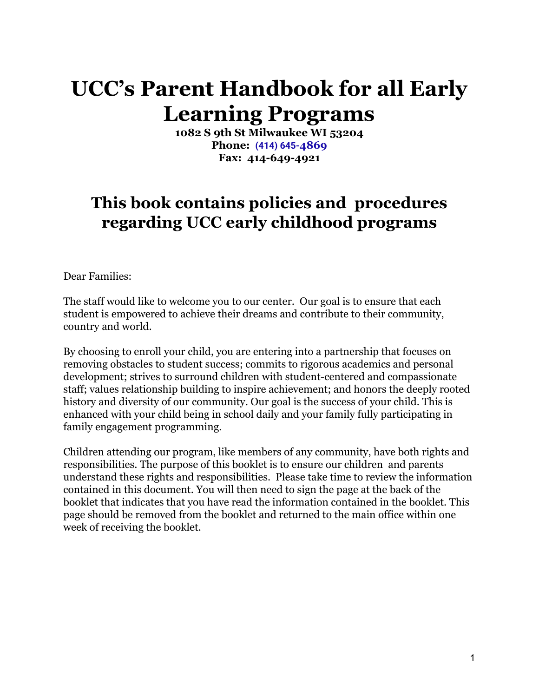# **UCC's Parent Handbook for all Early Learning Programs**

**1082 S 9th St Milwaukee WI 53204 Phone: [\(414\) 645-](https://www.google.com/search?q=early+learning+academy+daycare+milwaukee+wi+53204&rlz=1C1GCEV_enUS914US918&oq=early+learning+acade&aqs=chrome.2.0j69i57j69i59j0i457j0j69i60l2j69i61.7611j0j7&sourceid=chrome&ie=UTF-8&safe=active&ssui=on#)4869 Fax: 414-649-4921**

## **This book contains policies and procedures regarding UCC early childhood programs**

Dear Families:

The staff would like to welcome you to our center. Our goal is to ensure that each student is empowered to achieve their dreams and contribute to their community, country and world.

By choosing to enroll your child, you are entering into a partnership that focuses on removing obstacles to student success; commits to rigorous academics and personal development; strives to surround children with student-centered and compassionate staff; values relationship building to inspire achievement; and honors the deeply rooted history and diversity of our community. Our goal is the success of your child. This is enhanced with your child being in school daily and your family fully participating in family engagement programming.

Children attending our program, like members of any community, have both rights and responsibilities. The purpose of this booklet is to ensure our children and parents understand these rights and responsibilities. Please take time to review the information contained in this document. You will then need to sign the page at the back of the booklet that indicates that you have read the information contained in the booklet. This page should be removed from the booklet and returned to the main office within one week of receiving the booklet.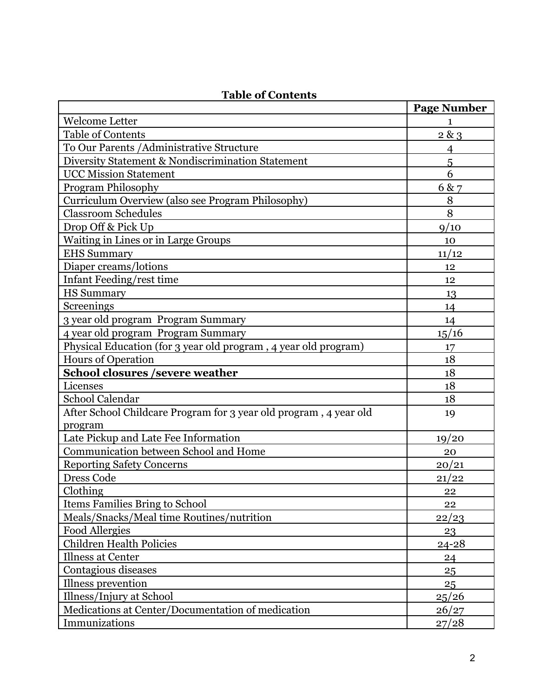|                                                                   | <b>Page Number</b> |
|-------------------------------------------------------------------|--------------------|
| <b>Welcome Letter</b>                                             | 1                  |
| <b>Table of Contents</b>                                          | 2 & 3              |
| To Our Parents / Administrative Structure                         | $\overline{4}$     |
| Diversity Statement & Nondiscrimination Statement                 | 5                  |
| <b>UCC Mission Statement</b>                                      | 6                  |
| <b>Program Philosophy</b>                                         | 6 & 7              |
| Curriculum Overview (also see Program Philosophy)                 | 8                  |
| <b>Classroom Schedules</b>                                        | 8                  |
| Drop Off & Pick Up                                                | 9/10               |
| <b>Waiting in Lines or in Large Groups</b>                        | 10                 |
| <b>EHS Summary</b>                                                | 11/12              |
| Diaper creams/lotions                                             | 12                 |
| Infant Feeding/rest time                                          | 12                 |
| <b>HS Summary</b>                                                 | 13                 |
| Screenings                                                        | 14                 |
| 3 year old program Program Summary                                | 14                 |
| 4 year old program Program Summary                                | 15/16              |
| Physical Education (for 3 year old program, 4 year old program)   | 17                 |
| <b>Hours of Operation</b>                                         | 18                 |
| <b>School closures /severe weather</b>                            | 18                 |
| Licenses                                                          | 18                 |
| <b>School Calendar</b>                                            | 18                 |
| After School Childcare Program for 3 year old program, 4 year old | 19                 |
| program                                                           |                    |
| Late Pickup and Late Fee Information                              | 19/20              |
| Communication between School and Home                             | 20                 |
| <b>Reporting Safety Concerns</b>                                  | 20/21              |
| <b>Dress Code</b>                                                 | 21/22              |
| Clothing                                                          | 22                 |
| <b>Items Families Bring to School</b>                             | 22                 |
| Meals/Snacks/Meal time Routines/nutrition                         | 22/23              |
| <b>Food Allergies</b>                                             | 23                 |
| <b>Children Health Policies</b>                                   | $24 - 28$          |
| <b>Illness at Center</b>                                          | 24                 |
| Contagious diseases                                               | 25                 |
| Illness prevention                                                | 25                 |
| Illness/Injury at School                                          | 25/26              |
| Medications at Center/Documentation of medication                 | 26/27              |
| Immunizations                                                     | 27/28              |

## **Table of Contents**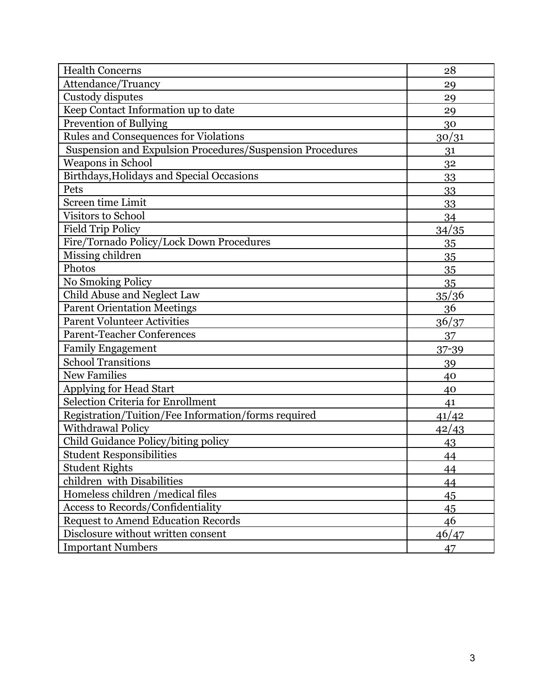| <b>Health Concerns</b>                                    | 28           |
|-----------------------------------------------------------|--------------|
| Attendance/Truancy                                        | 29           |
| Custody disputes                                          | 29           |
| Keep Contact Information up to date                       | 29           |
| <b>Prevention of Bullying</b>                             | 30           |
| <b>Rules and Consequences for Violations</b>              | 30/31        |
| Suspension and Expulsion Procedures/Suspension Procedures | 31           |
| Weapons in School                                         | 32           |
| Birthdays, Holidays and Special Occasions                 | 33           |
| Pets                                                      | 33           |
| <b>Screen time Limit</b>                                  | 33           |
| Visitors to School                                        | 34           |
| <b>Field Trip Policy</b>                                  | 34/35        |
| Fire/Tornado Policy/Lock Down Procedures                  | 35           |
| Missing children                                          | 35           |
| Photos                                                    | 35           |
| No Smoking Policy                                         | 35           |
| Child Abuse and Neglect Law                               | 35/36        |
| <b>Parent Orientation Meetings</b>                        | 36           |
| <b>Parent Volunteer Activities</b>                        | 36/37        |
| <b>Parent-Teacher Conferences</b>                         | 37           |
| <b>Family Engagement</b>                                  | 37-39        |
| <b>School Transitions</b>                                 | 39           |
| <b>New Families</b>                                       | 40           |
| <b>Applying for Head Start</b>                            | 40           |
| <b>Selection Criteria for Enrollment</b>                  | 41           |
| Registration/Tuition/Fee Information/forms required       | 41/42        |
| <b>Withdrawal Policy</b>                                  | <u>42/43</u> |
| Child Guidance Policy/biting policy                       | 43           |
| <b>Student Responsibilities</b>                           | 44           |
| <b>Student Rights</b>                                     | 44           |
| children with Disabilities                                | 44           |
| Homeless children /medical files                          | 45           |
| <b>Access to Records/Confidentiality</b>                  | 45           |
| <b>Request to Amend Education Records</b>                 | 46           |
| Disclosure without written consent                        | 46/47        |
| <b>Important Numbers</b>                                  | 47           |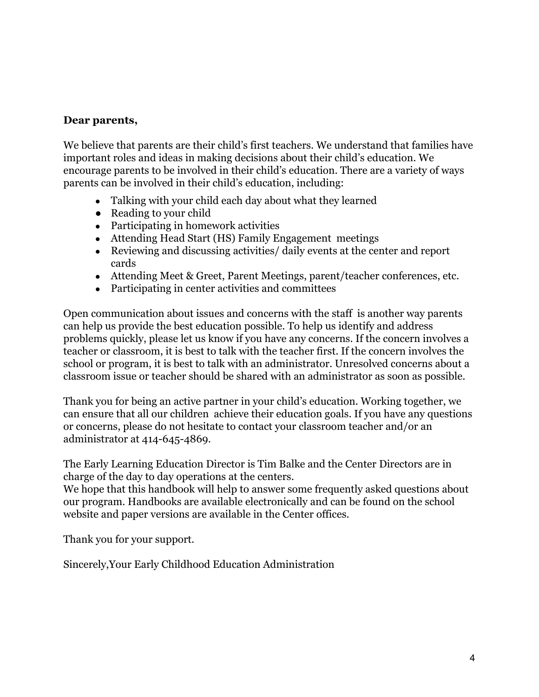#### **Dear parents,**

We believe that parents are their child's first teachers. We understand that families have important roles and ideas in making decisions about their child's education. We encourage parents to be involved in their child's education. There are a variety of ways parents can be involved in their child's education, including:

- Talking with your child each day about what they learned
- Reading to your child
- Participating in homework activities
- Attending Head Start (HS) Family Engagement meetings
- Reviewing and discussing activities/ daily events at the center and report cards
- Attending Meet & Greet, Parent Meetings, parent/teacher conferences, etc.
- Participating in center activities and committees

Open communication about issues and concerns with the staff is another way parents can help us provide the best education possible. To help us identify and address problems quickly, please let us know if you have any concerns. If the concern involves a teacher or classroom, it is best to talk with the teacher first. If the concern involves the school or program, it is best to talk with an administrator. Unresolved concerns about a classroom issue or teacher should be shared with an administrator as soon as possible.

Thank you for being an active partner in your child's education. Working together, we can ensure that all our children achieve their education goals. If you have any questions or concerns, please do not hesitate to contact your classroom teacher and/or an administrator at 414-645-4869.

The Early Learning Education Director is Tim Balke and the Center Directors are in charge of the day to day operations at the centers.

We hope that this handbook will help to answer some frequently asked questions about our program. Handbooks are available electronically and can be found on the school website and paper versions are available in the Center offices.

Thank you for your support.

Sincerely,Your Early Childhood Education Administration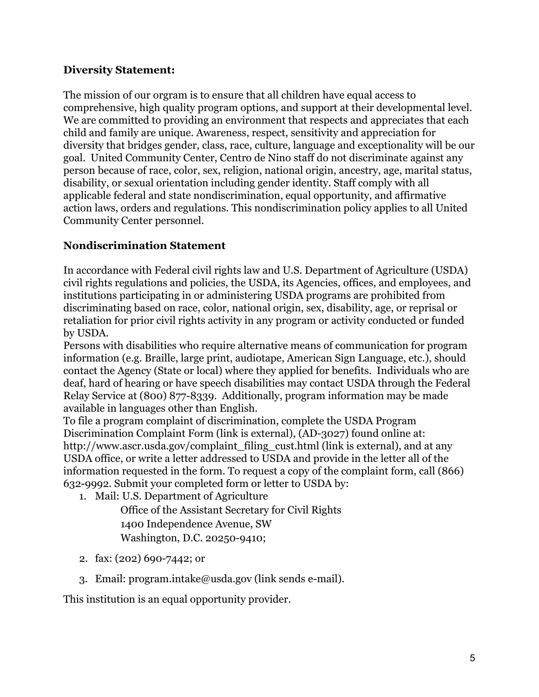#### **Diversity Statement:**

The mission of our orgram is to ensure that all children have equal access to comprehensive, high quality program options, and support at their developmental level. We are committed to providing an environment that respects and appreciates that each child and family are unique. Awareness, respect, sensitivity and appreciation for diversity that bridges gender, class, race, culture, language and exceptionality will be our goal. United Community Center, Centro de Nino staff do not discriminate against any person because of race, color, sex, religion, national origin, ancestry, age, marital status, disability, or sexual orientation including gender identity. Staff comply with all applicable federal and state nondiscrimination, equal opportunity, and affirmative action laws, orders and regulations. This nondiscrimination policy applies to all United Community Center personnel.

## **Nondiscrimination Statement**

In accordance with Federal civil rights law and U.S. Department of Agriculture (USDA) civil rights regulations and policies, the USDA, its Agencies, offices, and employees, and institutions participating in or administering USDA programs are prohibited from discriminating based on race, color, national origin, sex, disability, age, or reprisal or retaliation for prior civil rights activity in any program or activity conducted or funded by USDA.

Persons with disabilities who require alternative means of communication for program information (e.g. Braille, large print, audiotape, American Sign Language, etc.), should contact the Agency (State or local) where they applied for benefits. Individuals who are deaf, hard of hearing or have speech disabilities may contact USDA through the Federal Relay Service at (800) 877-8339. Additionally, program information may be made available in languages other than English.

To file a program complaint of discrimination, complete the [USDA Program](http://www.ocio.usda.gov/sites/default/files/docs/2012/Complain_combined_6_8_12.pdf) [Discrimination Complaint Form \(link is external\),](http://www.ocio.usda.gov/sites/default/files/docs/2012/Complain_combined_6_8_12.pdf) (AD-3027) found online at: [http://www.ascr.usda.gov/complaint\\_filing\\_cust.html \(link is external\),](http://www.ascr.usda.gov/complaint_filing_cust.html) and at any USDA office, or write a letter addressed to USDA and provide in the letter all of the information requested in the form. To request a copy of the complaint form, call (866) 632-9992. Submit your completed form or letter to USDA by:

1. Mail: U.S. Department of Agriculture

Office of the Assistant Secretary for Civil Rights 1400 Independence Avenue, SW Washington, D.C. 20250-9410;

- 2. fax: (202) 690-7442; or
- 3. Email: [program.intake@usda.gov \(link sends e-mail\)](mailto:program.intake@usda.gov).

This institution is an equal opportunity provider.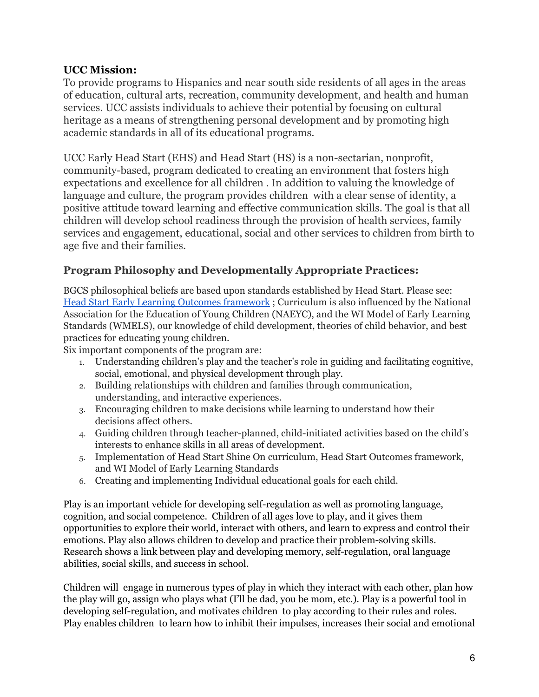#### **UCC Mission:**

To provide programs to Hispanics and near south side residents of all ages in the areas of education, cultural arts, recreation, community development, and health and human services. UCC assists individuals to achieve their potential by focusing on cultural heritage as a means of strengthening personal development and by promoting high academic standards in all of its educational programs.

UCC Early Head Start (EHS) and Head Start (HS) is a non-sectarian, nonprofit, community-based, program dedicated to creating an environment that fosters high expectations and excellence for all children . In addition to valuing the knowledge of language and culture, the program provides children with a clear sense of identity, a positive attitude toward learning and effective communication skills. The goal is that all children will develop school readiness through the provision of health services, family services and engagement, educational, social and other services to children from birth to age five and their families.

## **Program Philosophy and Developmentally Appropriate Practices:**

BGCS philosophical beliefs are based upon standards established by Head Start. Please see: Head Start Early Learning Outcomes [framework](https://eclkc.ohs.acf.hhs.gov/sites/default/files/pdf/ohs-framework.pdf) ; Curriculum is also influenced by the National Association for the Education of Young Children (NAEYC), and the WI Model of Early Learning Standards (WMELS), our knowledge of child development, theories of child behavior, and best practices for educating young children.

Six important components of the program are:

- 1. Understanding children's play and the teacher's role in guiding and facilitating cognitive, social, emotional, and physical development through play.
- 2. Building relationships with children and families through communication, understanding, and interactive experiences.
- 3. Encouraging children to make decisions while learning to understand how their decisions affect others.
- 4. Guiding children through teacher-planned, child-initiated activities based on the child's interests to enhance skills in all areas of development.
- 5. Implementation of Head Start Shine On curriculum, Head Start Outcomes framework, and WI Model of Early Learning Standards
- 6. Creating and implementing Individual educational goals for each child.

Play is an important vehicle for developing self-regulation as well as promoting language, cognition, and social competence. Children of all ages love to play, and it gives them opportunities to explore their world, interact with others, and learn to express and control their emotions. Play also allows children to develop and practice their problem-solving skills. Research shows a link between play and developing memory, self-regulation, oral language abilities, social skills, and success in school.

Children will engage in numerous types of play in which they interact with each other, plan how the play will go, assign who plays what (I'll be dad, you be mom, etc.). Play is a powerful tool in developing self-regulation, and motivates children to play according to their rules and roles. Play enables children to learn how to inhibit their impulses, increases their social and emotional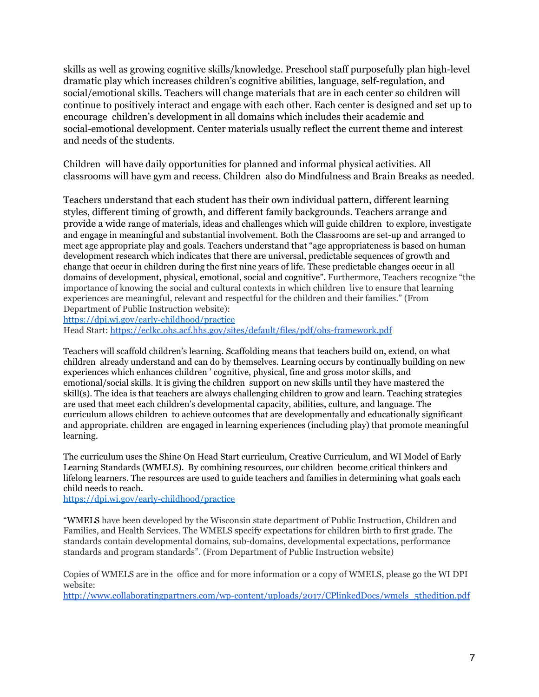skills as well as growing cognitive skills/knowledge. Preschool staff purposefully plan high-level dramatic play which increases children's cognitive abilities, language, self-regulation, and social/emotional skills. Teachers will change materials that are in each center so children will continue to positively interact and engage with each other. Each center is designed and set up to encourage children's development in all domains which includes their academic and social-emotional development. Center materials usually reflect the current theme and interest and needs of the students.

Children will have daily opportunities for planned and informal physical activities. All classrooms will have gym and recess. Children also do Mindfulness and Brain Breaks as needed.

Teachers understand that each student has their own individual pattern, different learning styles, different timing of growth, and different family backgrounds. Teachers arrange and provide a wide range of materials, ideas and challenges which will guide children to explore, investigate and engage in meaningful and substantial involvement. Both the Classrooms are set-up and arranged to meet age appropriate play and goals. Teachers understand that "age appropriateness is based on human development research which indicates that there are universal, predictable sequences of growth and change that occur in children during the first nine years of life. These predictable changes occur in all domains of development, physical, emotional, social and cognitive". Furthermore, Teachers recognize "the importance of knowing the social and cultural contexts in which children live to ensure that learning experiences are meaningful, relevant and respectful for the children and their families." (From Department of Public Instruction website):

<https://dpi.wi.gov/early-childhood/practice>

Head Start: <https://eclkc.ohs.acf.hhs.gov/sites/default/files/pdf/ohs-framework.pdf>

Teachers will scaffold children's learning. Scaffolding means that teachers build on, extend, on what children already understand and can do by themselves. Learning occurs by continually building on new experiences which enhances children ' cognitive, physical, fine and gross motor skills, and emotional/social skills. It is giving the children support on new skills until they have mastered the skill(s). The idea is that teachers are always challenging children to grow and learn. Teaching strategies are used that meet each children's developmental capacity, abilities, culture, and language. The curriculum allows children to achieve outcomes that are developmentally and educationally significant and appropriate. children are engaged in learning experiences (including play) that promote meaningful learning.

The curriculum uses the Shine On Head Start curriculum, Creative Curriculum, and WI Model of Early Learning Standards (WMELS). By combining resources, our children become critical thinkers and lifelong learners. The resources are used to guide teachers and families in determining what goals each child needs to reach.

<https://dpi.wi.gov/early-childhood/practice>

"WMELS have been developed by the Wisconsin state department of Public Instruction, Children and Families, and Health Services. The WMELS specify expectations for children birth to first grade. The standards contain developmental domains, sub-domains, developmental expectations, performance standards and program standards". (From Department of Public Instruction website)

Copies of WMELS are in the office and for more information or a copy of WMELS, please go the WI DPI website:

[http://www.collaboratingpartners.com/wp-content/uploads/2017/CPlinkedDocs/wmels\\_5thedition.pdf](http://www.collaboratingpartners.com/wp-content/uploads/2017/CPlinkedDocs/wmels_5thedition.pdf)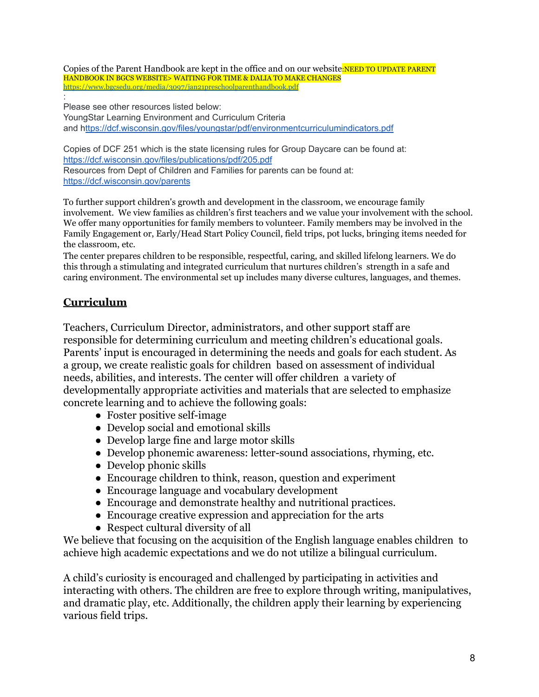Copies of the Parent Handbook are kept in the office and on our website:NEED TO UPDATE PARENT HANDBOOK IN BGCS WEBSITE> WAITING FOR TIME & DALIA TO MAKE CHANGES <https://www.bgcsedu.org/media/3097/jan21preschoolparenthandbook.pdf>

: Please see other resources listed below: YoungStar Learning Environment and Curriculum Criteria and <https://dcf.wisconsin.gov/files/youngstar/pdf/environmentcurriculumindicators.pdf>

Copies of DCF 251 which is the state licensing rules for Group Daycare can be found at: <https://dcf.wisconsin.gov/files/publications/pdf/205.pdf> Resources from Dept of Children and Families for parents can be found at: <https://dcf.wisconsin.gov/parents>

To further support children's growth and development in the classroom, we encourage family involvement. We view families as children's first teachers and we value your involvement with the school. We offer many opportunities for family members to volunteer. Family members may be involved in the Family Engagement or, Early/Head Start Policy Council, field trips, pot lucks, bringing items needed for the classroom, etc.

The center prepares children to be responsible, respectful, caring, and skilled lifelong learners. We do this through a stimulating and integrated curriculum that nurtures children's strength in a safe and caring environment. The environmental set up includes many diverse cultures, languages, and themes.

## **Curriculum**

Teachers, Curriculum Director, administrators, and other support staff are responsible for determining curriculum and meeting children's educational goals. Parents' input is encouraged in determining the needs and goals for each student. As a group, we create realistic goals for children based on assessment of individual needs, abilities, and interests. The center will offer children a variety of developmentally appropriate activities and materials that are selected to emphasize concrete learning and to achieve the following goals:

- Foster positive self-image
- Develop social and emotional skills
- Develop large fine and large motor skills
- Develop phonemic awareness: letter-sound associations, rhyming, etc.
- Develop phonic skills
- Encourage children to think, reason, question and experiment
- Encourage language and vocabulary development
- Encourage and demonstrate healthy and nutritional practices.
- Encourage creative expression and appreciation for the arts
- Respect cultural diversity of all

We believe that focusing on the acquisition of the English language enables children to achieve high academic expectations and we do not utilize a bilingual curriculum.

A child's curiosity is encouraged and challenged by participating in activities and interacting with others. The children are free to explore through writing, manipulatives, and dramatic play, etc. Additionally, the children apply their learning by experiencing various field trips.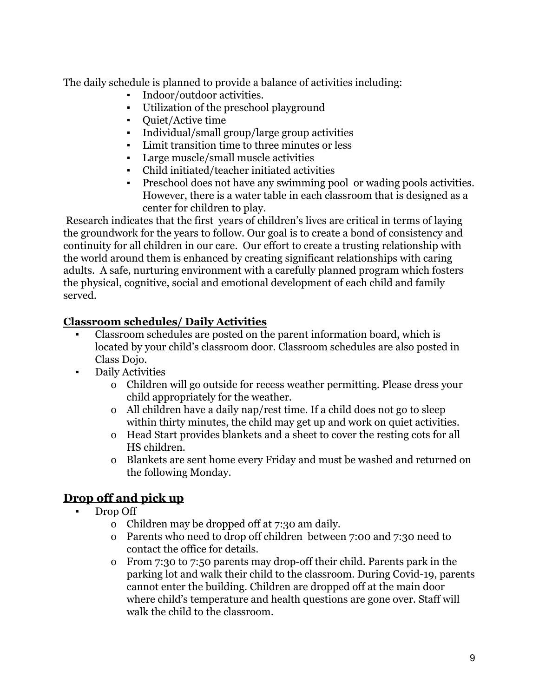The daily schedule is planned to provide a balance of activities including:

- Indoor/outdoor activities.
- Utilization of the preschool playground
- Quiet/Active time
- Individual/small group/large group activities
- Limit transition time to three minutes or less
- Large muscle/small muscle activities
- *▪* Child initiated/teacher initiated activities
- Preschool does not have any swimming pool or wading pools activities. However, there is a water table in each classroom that is designed as a center for children to play.

Research indicates that the first years of children's lives are critical in terms of laying the groundwork for the years to follow. Our goal is to create a bond of consistency and continuity for all children in our care. Our effort to create a trusting relationship with the world around them is enhanced by creating significant relationships with caring adults. A safe, nurturing environment with a carefully planned program which fosters the physical, cognitive, social and emotional development of each child and family served.

## **Classroom schedules/ Daily Activities**

- Classroom schedules are posted on the parent information board, which is located by your child's classroom door. Classroom schedules are also posted in Class Dojo.
- Daily Activities
	- o Children will go outside for recess weather permitting. Please dress your child appropriately for the weather.
	- o All children have a daily nap/rest time. If a child does not go to sleep within thirty minutes, the child may get up and work on quiet activities.
	- o Head Start provides blankets and a sheet to cover the resting cots for all HS children.
	- o Blankets are sent home every Friday and must be washed and returned on the following Monday.

## **Drop off and pick up**

- Drop Off
	- o Children may be dropped off at 7:30 am daily.
	- o Parents who need to drop off children between 7:00 and 7:30 need to contact the office for details.
	- o From 7:30 to 7:50 parents may drop-off their child. Parents park in the parking lot and walk their child to the classroom. During Covid-19, parents cannot enter the building. Children are dropped off at the main door where child's temperature and health questions are gone over. Staff will walk the child to the classroom.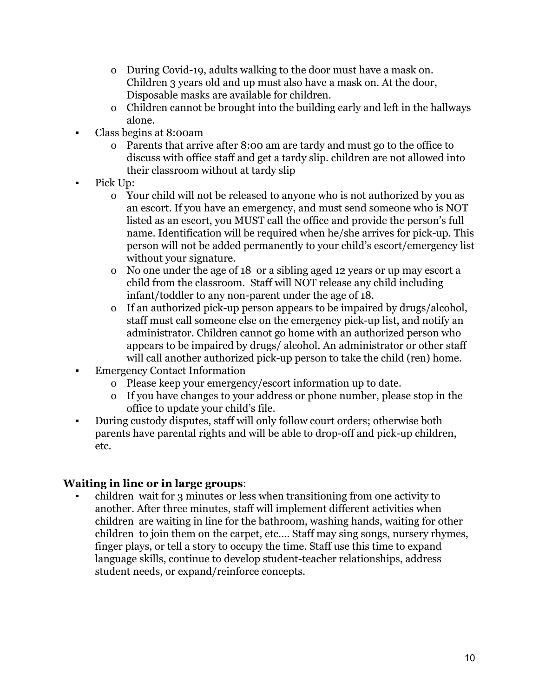- o During Covid-19, adults walking to the door must have a mask on. Children 3 years old and up must also have a mask on. At the door, Disposable masks are available for children.
- o Children cannot be brought into the building early and left in the hallways alone.
- Class begins at 8:00am
	- o Parents that arrive after 8:00 am are tardy and must go to the office to discuss with office staff and get a tardy slip. children are not allowed into their classroom without at tardy slip
- Pick Up:
	- o Your child will not be released to anyone who is not authorized by you as an escort. If you have an emergency, and must send someone who is NOT listed as an escort, you MUST call the office and provide the person's full name. Identification will be required when he/she arrives for pick-up. This person will not be added permanently to your child's escort/emergency list without your signature.
	- o No one under the age of 18 or a sibling aged 12 years or up may escort a child from the classroom. Staff will NOT release any child including infant/toddler to any non-parent under the age of 18.
	- o If an authorized pick-up person appears to be impaired by drugs/alcohol, staff must call someone else on the emergency pick-up list, and notify an administrator. Children cannot go home with an authorized person who appears to be impaired by drugs/ alcohol. An administrator or other staff will call another authorized pick-up person to take the child (ren) home.
- **Emergency Contact Information** 
	- o Please keep your emergency/escort information up to date.
	- o If you have changes to your address or phone number, please stop in the office to update your child's file.
- During custody disputes, staff will only follow court orders; otherwise both parents have parental rights and will be able to drop-off and pick-up children, etc.

#### **Waiting in line or in large groups**:

**▪** children wait for 3 minutes or less when transitioning from one activity to another. After three minutes, staff will implement different activities when children are waiting in line for the bathroom, washing hands, waiting for other children to join them on the carpet, etc.… Staff may sing songs, nursery rhymes, finger plays, or tell a story to occupy the time. Staff use this time to expand language skills, continue to develop student-teacher relationships, address student needs, or expand/reinforce concepts.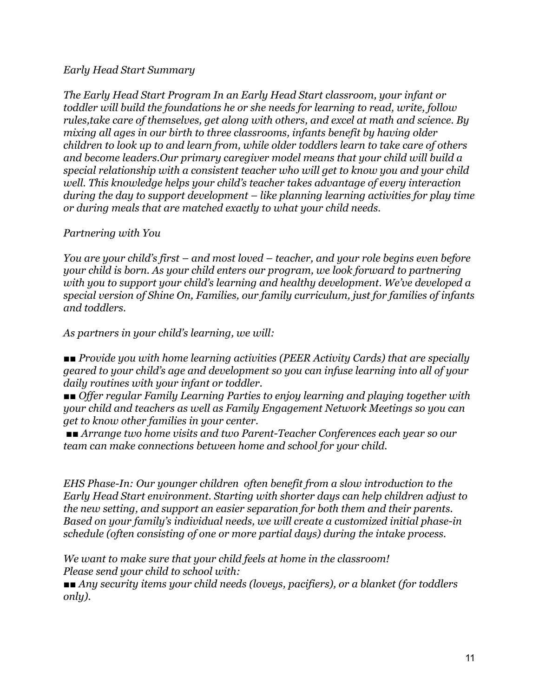#### *Early Head Start Summary*

*The Early Head Start Program In an Early Head Start classroom, your infant or toddler will build the foundations he or she needs for learning to read, write, follow rules,take care of themselves, get along with others, and excel at math and science. By mixing all ages in our birth to three classrooms, infants benefit by having older children to look up to and learn from, while older toddlers learn to take care of others and become leaders.Our primary caregiver model means that your child will build a special relationship with a consistent teacher who will get to know you and your child well. This knowledge helps your child's teacher takes advantage of every interaction during the day to support development – like planning learning activities for play time or during meals that are matched exactly to what your child needs.*

#### *Partnering with You*

*You are your child's first – and most loved – teacher, and your role begins even before your child is born. As your child enters our program, we look forward to partnering with you to support your child's learning and healthy development. We've developed a special version of Shine On, Families, our family curriculum, just for families of infants and toddlers.*

*As partners in your child's learning, we will:*

*■■ Provide you with home learning activities (PEER Activity Cards) that are specially geared to your child's age and development so you can infuse learning into all of your daily routines with your infant or toddler.*

*■■ Offer regular Family Learning Parties to enjoy learning and playing together with your child and teachers as well as Family Engagement Network Meetings so you can get to know other families in your center.*

*■■ Arrange two home visits and two Parent-Teacher Conferences each year so our team can make connections between home and school for your child.*

*EHS Phase-In: Our younger children often benefit from a slow introduction to the Early Head Start environment. Starting with shorter days can help children adjust to the new setting, and support an easier separation for both them and their parents. Based on your family's individual needs, we will create a customized initial phase-in schedule (often consisting of one or more partial days) during the intake process.*

*We want to make sure that your child feels at home in the classroom! Please send your child to school with:*

*■■ Any security items your child needs (loveys, pacifiers), or a blanket (for toddlers only).*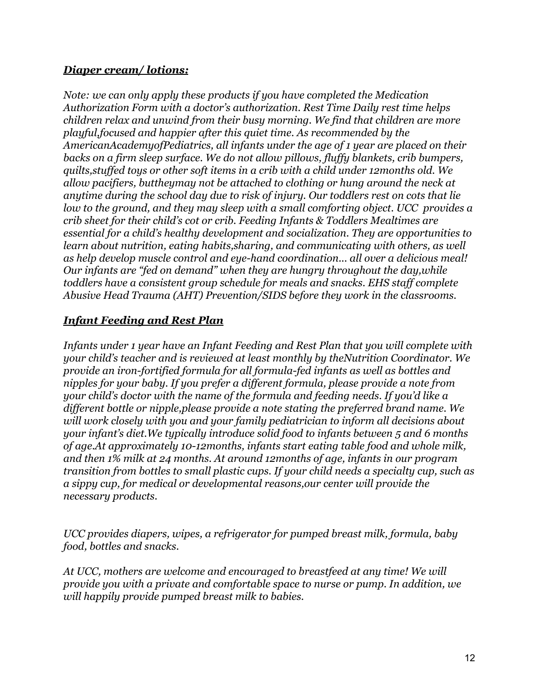#### *Diaper cream/ lotions:*

*Note: we can only apply these products if you have completed the Medication Authorization Form with a doctor's authorization. Rest Time Daily rest time helps children relax and unwind from their busy morning. We find that children are more playful,focused and happier after this quiet time. As recommended by the AmericanAcademyofPediatrics, all infants under the age of 1 year are placed on their backs on a firm sleep surface. We do not allow pillows, fluffy blankets, crib bumpers, quilts,stuffed toys or other soft items in a crib with a child under 12months old. We allow pacifiers, buttheymay not be attached to clothing or hung around the neck at anytime during the school day due to risk of injury. Our toddlers rest on cots that lie low to the ground, and they may sleep with a small comforting object. UCC provides a crib sheet for their child's cot or crib. Feeding Infants & Toddlers Mealtimes are essential for a child's healthy development and socialization. They are opportunities to learn about nutrition, eating habits,sharing, and communicating with others, as well as help develop muscle control and eye-hand coordination... all over a delicious meal! Our infants are "fed on demand" when they are hungry throughout the day,while toddlers have a consistent group schedule for meals and snacks. EHS staff complete Abusive Head Trauma (AHT) Prevention/SIDS before they work in the classrooms.*

#### *Infant Feeding and Rest Plan*

*Infants under 1 year have an Infant Feeding and Rest Plan that you will complete with your child's teacher and is reviewed at least monthly by theNutrition Coordinator. We provide an iron-fortified formula for all formula-fed infants as well as bottles and nipples for your baby. If you prefer a different formula, please provide a note from your child's doctor with the name of the formula and feeding needs. If you'd like a different bottle or nipple,please provide a note stating the preferred brand name. We will work closely with you and your family pediatrician to inform all decisions about your infant's diet.We typically introduce solid food to infants between 5 and 6 months of age.At approximately 10-12months, infants start eating table food and whole milk, and then 1% milk at 24 months. At around 12months of age, infants in our program transition from bottles to small plastic cups. If your child needs a specialty cup, such as a sippy cup, for medical or developmental reasons,our center will provide the necessary products.*

*UCC provides diapers, wipes, a refrigerator for pumped breast milk, formula, baby food, bottles and snacks.*

*At UCC, mothers are welcome and encouraged to breastfeed at any time! We will provide you with a private and comfortable space to nurse or pump. In addition, we will happily provide pumped breast milk to babies.*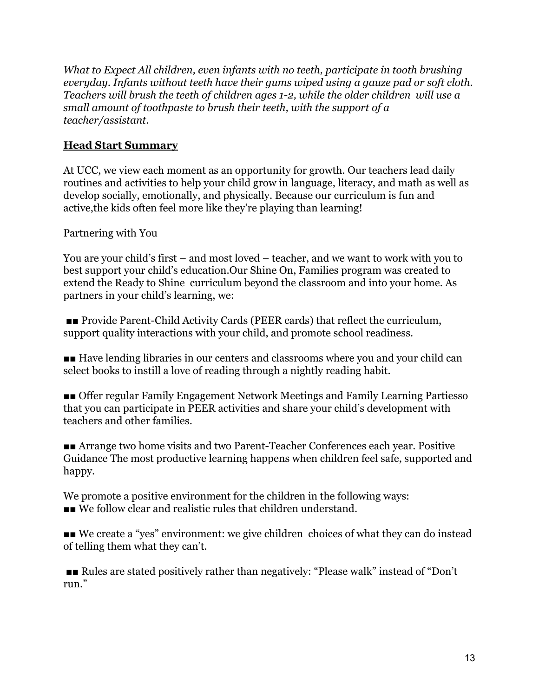*What to Expect All children, even infants with no teeth, participate in tooth brushing everyday. Infants without teeth have their gums wiped using a gauze pad or soft cloth. Teachers will brush the teeth of children ages 1-2, while the older children will use a small amount of toothpaste to brush their teeth, with the support of a teacher/assistant.*

## **Head Start Summary**

At UCC, we view each moment as an opportunity for growth. Our teachers lead daily routines and activities to help your child grow in language, literacy, and math as well as develop socially, emotionally, and physically. Because our curriculum is fun and active,the kids often feel more like they're playing than learning!

Partnering with You

You are your child's first – and most loved – teacher, and we want to work with you to best support your child's education.Our Shine On, Families program was created to extend the Ready to Shine curriculum beyond the classroom and into your home. As partners in your child's learning, we:

■■ Provide Parent-Child Activity Cards (PEER cards) that reflect the curriculum, support quality interactions with your child, and promote school readiness.

■■ Have lending libraries in our centers and classrooms where you and your child can select books to instill a love of reading through a nightly reading habit.

■■ Offer regular Family Engagement Network Meetings and Family Learning Partiesso that you can participate in PEER activities and share your child's development with teachers and other families.

■■ Arrange two home visits and two Parent-Teacher Conferences each year. Positive Guidance The most productive learning happens when children feel safe, supported and happy.

We promote a positive environment for the children in the following ways: ■■ We follow clear and realistic rules that children understand.

■■ We create a "yes" environment: we give children choices of what they can do instead of telling them what they can't.

■■ Rules are stated positively rather than negatively: "Please walk" instead of "Don't run."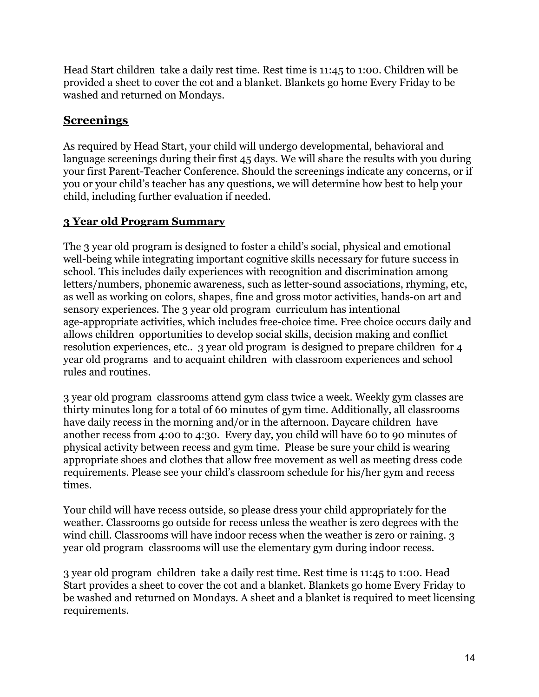Head Start children take a daily rest time. Rest time is 11:45 to 1:00. Children will be provided a sheet to cover the cot and a blanket. Blankets go home Every Friday to be washed and returned on Mondays.

## **Screenings**

As required by Head Start, your child will undergo developmental, behavioral and language screenings during their first 45 days. We will share the results with you during your first Parent-Teacher Conference. Should the screenings indicate any concerns, or if you or your child's teacher has any questions, we will determine how best to help your child, including further evaluation if needed.

## **3 Year old Program Summary**

The 3 year old program is designed to foster a child's social, physical and emotional well-being while integrating important cognitive skills necessary for future success in school. This includes daily experiences with recognition and discrimination among letters/numbers, phonemic awareness, such as letter-sound associations, rhyming, etc, as well as working on colors, shapes, fine and gross motor activities, hands-on art and sensory experiences. The 3 year old program curriculum has intentional age-appropriate activities, which includes free-choice time. Free choice occurs daily and allows children opportunities to develop social skills, decision making and conflict resolution experiences, etc.. 3 year old program is designed to prepare children for 4 year old programs and to acquaint children with classroom experiences and school rules and routines.

3 year old program classrooms attend gym class twice a week. Weekly gym classes are thirty minutes long for a total of 60 minutes of gym time. Additionally, all classrooms have daily recess in the morning and/or in the afternoon. Daycare children have another recess from 4:00 to 4:30. Every day, you child will have 60 to 90 minutes of physical activity between recess and gym time. Please be sure your child is wearing appropriate shoes and clothes that allow free movement as well as meeting dress code requirements. Please see your child's classroom schedule for his/her gym and recess times.

Your child will have recess outside, so please dress your child appropriately for the weather. Classrooms go outside for recess unless the weather is zero degrees with the wind chill. Classrooms will have indoor recess when the weather is zero or raining. 3 year old program classrooms will use the elementary gym during indoor recess.

3 year old program children take a daily rest time. Rest time is 11:45 to 1:00. Head Start provides a sheet to cover the cot and a blanket. Blankets go home Every Friday to be washed and returned on Mondays. A sheet and a blanket is required to meet licensing requirements.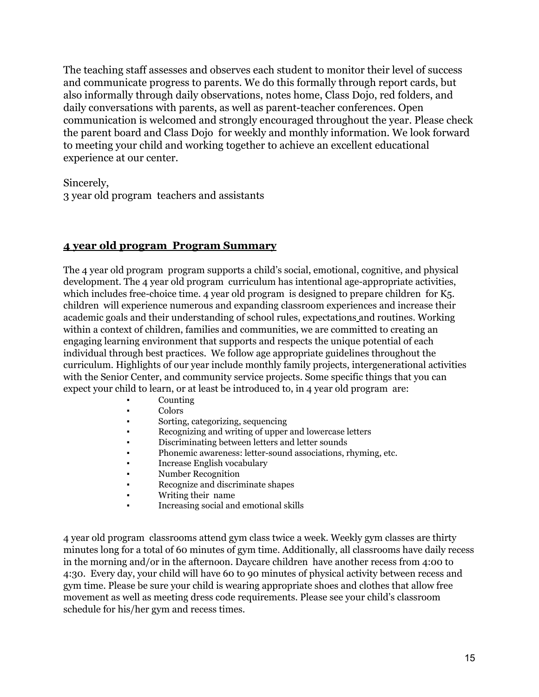The teaching staff assesses and observes each student to monitor their level of success and communicate progress to parents. We do this formally through report cards, but also informally through daily observations, notes home, Class Dojo, red folders, and daily conversations with parents, as well as parent-teacher conferences. Open communication is welcomed and strongly encouraged throughout the year. Please check the parent board and Class Dojo for weekly and monthly information. We look forward to meeting your child and working together to achieve an excellent educational experience at our center.

Sincerely,

3 year old program teachers and assistants

#### **4 year old program Program Summary**

The 4 year old program program supports a child's social, emotional, cognitive, and physical development. The 4 year old program curriculum has intentional age-appropriate activities, which includes free-choice time. 4 year old program is designed to prepare children for K5. children will experience numerous and expanding classroom experiences and increase their academic goals and their understanding of school rules, expectations and routines. Working within a context of children, families and communities, we are committed to creating an engaging learning environment that supports and respects the unique potential of each individual through best practices. We follow age appropriate guidelines throughout the curriculum. Highlights of our year include monthly family projects, intergenerational activities with the Senior Center, and community service projects. Some specific things that you can expect your child to learn, or at least be introduced to, in 4 year old program are:

- **Counting**
- **Colors**
- Sorting, categorizing, sequencing
- Recognizing and writing of upper and lowercase letters
- Discriminating between letters and letter sounds
- Phonemic awareness: letter-sound associations, rhyming, etc.
- Increase English vocabulary
- Number Recognition
- Recognize and discriminate shapes
- Writing their name
- Increasing social and emotional skills

4 year old program classrooms attend gym class twice a week. Weekly gym classes are thirty minutes long for a total of 60 minutes of gym time. Additionally, all classrooms have daily recess in the morning and/or in the afternoon. Daycare children have another recess from 4:00 to 4:30. Every day, your child will have 60 to 90 minutes of physical activity between recess and gym time. Please be sure your child is wearing appropriate shoes and clothes that allow free movement as well as meeting dress code requirements. Please see your child's classroom schedule for his/her gym and recess times.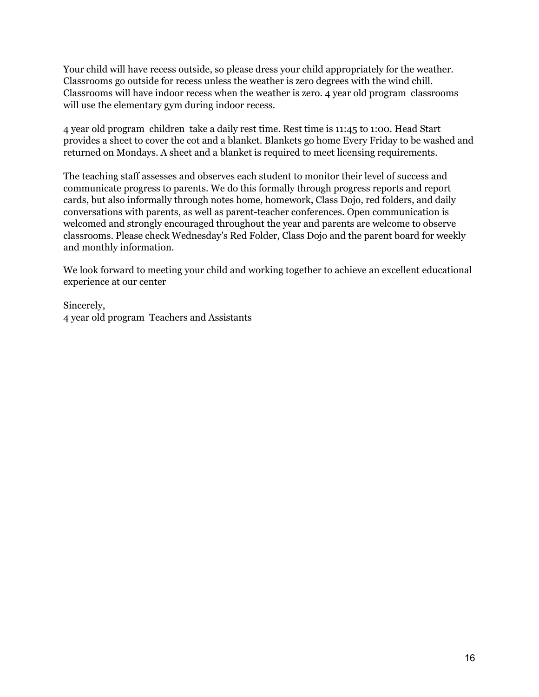Your child will have recess outside, so please dress your child appropriately for the weather. Classrooms go outside for recess unless the weather is zero degrees with the wind chill. Classrooms will have indoor recess when the weather is zero. 4 year old program classrooms will use the elementary gym during indoor recess.

4 year old program children take a daily rest time. Rest time is 11:45 to 1:00. Head Start provides a sheet to cover the cot and a blanket. Blankets go home Every Friday to be washed and returned on Mondays. A sheet and a blanket is required to meet licensing requirements.

The teaching staff assesses and observes each student to monitor their level of success and communicate progress to parents. We do this formally through progress reports and report cards, but also informally through notes home, homework, Class Dojo, red folders, and daily conversations with parents, as well as parent-teacher conferences. Open communication is welcomed and strongly encouraged throughout the year and parents are welcome to observe classrooms. Please check Wednesday's Red Folder, Class Dojo and the parent board for weekly and monthly information.

We look forward to meeting your child and working together to achieve an excellent educational experience at our center

Sincerely, 4 year old program Teachers and Assistants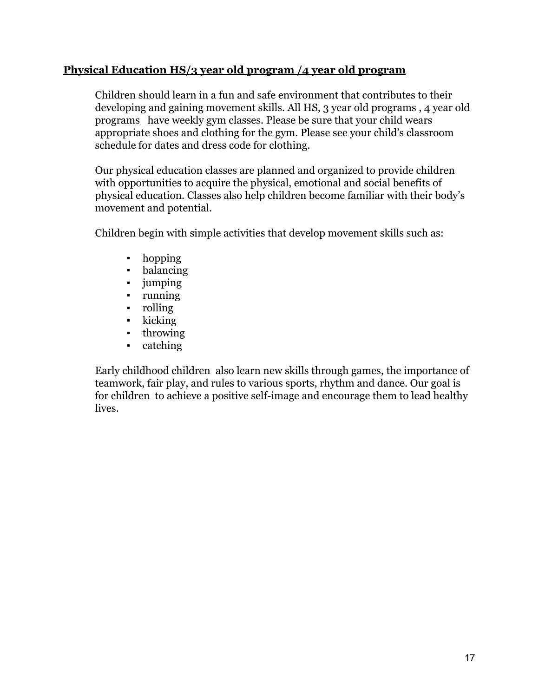#### **Physical Education HS/3 year old program /4 year old program**

Children should learn in a fun and safe environment that contributes to their developing and gaining movement skills. All HS, 3 year old programs , 4 year old programs have weekly gym classes. Please be sure that your child wears appropriate shoes and clothing for the gym. Please see your child's classroom schedule for dates and dress code for clothing.

Our physical education classes are planned and organized to provide children with opportunities to acquire the physical, emotional and social benefits of physical education. Classes also help children become familiar with their body's movement and potential.

Children begin with simple activities that develop movement skills such as:

- hopping
- · balancing
- jumping
- running
- rolling
- kicking
- throwing
- catching

Early childhood children also learn new skills through games, the importance of teamwork, fair play, and rules to various sports, rhythm and dance. Our goal is for children to achieve a positive self-image and encourage them to lead healthy lives.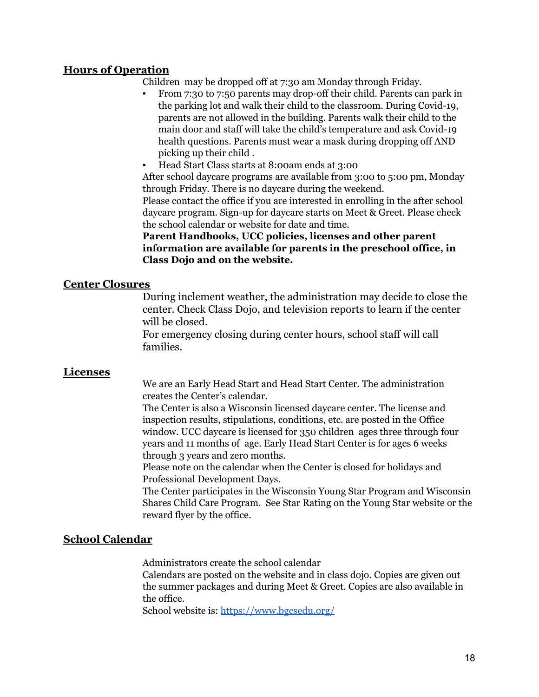#### **Hours of Operation**

Children may be dropped off at 7:30 am Monday through Friday.

- From 7:30 to 7:50 parents may drop-off their child. Parents can park in the parking lot and walk their child to the classroom. During Covid-19, parents are not allowed in the building. Parents walk their child to the main door and staff will take the child's temperature and ask Covid-19 health questions. Parents must wear a mask during dropping off AND picking up their child .
- Head Start Class starts at 8:00am ends at 3:00

After school daycare programs are available from 3:00 to 5:00 pm, Monday through Friday. There is no daycare during the weekend.

Please contact the office if you are interested in enrolling in the after school daycare program. Sign-up for daycare starts on Meet & Greet. Please check the school calendar or website for date and time.

**Parent Handbooks, UCC policies, licenses and other parent information are available for parents in the preschool office, in Class Dojo and on the website.**

#### **Center Closures**

During inclement weather, the administration may decide to close the center. Check Class Dojo, and television reports to learn if the center will be closed.

For emergency closing during center hours, school staff will call families.

#### **Licenses**

We are an Early Head Start and Head Start Center. The administration creates the Center's calendar.

The Center is also a Wisconsin licensed daycare center. The license and inspection results, stipulations, conditions, etc. are posted in the Office window. UCC daycare is licensed for 350 children ages three through four years and 11 months of age. Early Head Start Center is for ages 6 weeks through 3 years and zero months.

Please note on the calendar when the Center is closed for holidays and Professional Development Days.

The Center participates in the Wisconsin Young Star Program and Wisconsin Shares Child Care Program. See Star Rating on the Young Star website or the reward flyer by the office.

#### **School Calendar**

Administrators create the school calendar

Calendars are posted on the website and in class dojo. Copies are given out the summer packages and during Meet & Greet. Copies are also available in the office.

School website is: <https://www.bgcsedu.org/>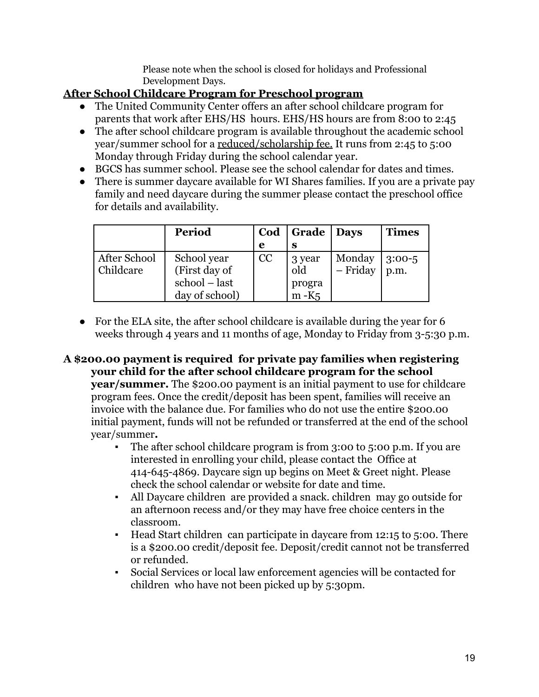Please note when the school is closed for holidays and Professional Development Days.

## **After School Childcare Program for Preschool program**

- The United Community Center offers an after school childcare program for parents that work after EHS/HS hours. EHS/HS hours are from 8:00 to 2:45
- The after school childcare program is available throughout the academic school year/summer school for a reduced/scholarship fee. It runs from 2:45 to 5:00 Monday through Friday during the school calendar year.
- BGCS has summer school. Please see the school calendar for dates and times.
- There is summer daycare available for WI Shares families. If you are a private pay family and need daycare during the summer please contact the preschool office for details and availability.

|              | Period         | Cod | Grade   Days |            | <b>Times</b> |
|--------------|----------------|-----|--------------|------------|--------------|
|              |                | e   | S            |            |              |
| After School | School year    | CC  | 3 year       | Monday     | $3:00-5$     |
| Childcare    | (First day of  |     | old          | $-$ Friday | p.m.         |
|              | school – last  |     | progra       |            |              |
|              | day of school) |     | $m-K5$       |            |              |

- For the ELA site, the after school childcare is available during the year for 6 weeks through 4 years and 11 months of age, Monday to Friday from 3-5:30 p.m.
- **A \$200.00 payment is required for private pay families when registering your child for the after school childcare program for the school year/summer.** The \$200.00 payment is an initial payment to use for childcare program fees. Once the credit/deposit has been spent, families will receive an invoice with the balance due. For families who do not use the entire \$200.00 initial payment, funds will not be refunded or transferred at the end of the school year/summer**.**
	- The after school childcare program is from 3:00 to 5:00 p.m. If you are interested in enrolling your child, please contact the Office at 414-645-4869. Daycare sign up begins on Meet & Greet night. Please check the school calendar or website for date and time.
	- All Daycare children are provided a snack, children may go outside for an afternoon recess and/or they may have free choice centers in the classroom.
	- Head Start children can participate in daycare from 12:15 to 5:00. There is a \$200.00 credit/deposit fee. Deposit/credit cannot not be transferred or refunded.
	- Social Services or local law enforcement agencies will be contacted for children who have not been picked up by 5:30pm.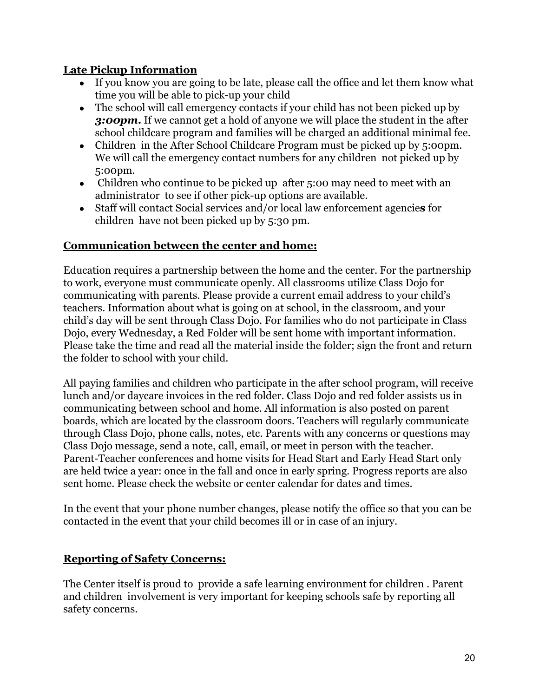## **Late Pickup Information**

- If you know you are going to be late, please call the office and let them know what time you will be able to pick-up your child
- The school will call emergency contacts if your child has not been picked up by *3:00pm***.** If we cannot get a hold of anyone we will place the student in the after school childcare program and families will be charged an additional minimal fee.
- Children in the After School Childcare Program must be picked up by 5:00pm. We will call the emergency contact numbers for any children not picked up by 5:00pm.
- Children who continue to be picked up after 5:00 may need to meet with an administrator to see if other pick-up options are available.
- Staff will contact Social services and/or local law enforcement agencie**s** for children have not been picked up by 5:30 pm.

#### **Communication between the center and home:**

Education requires a partnership between the home and the center. For the partnership to work, everyone must communicate openly. All classrooms utilize Class Dojo for communicating with parents. Please provide a current email address to your child's teachers. Information about what is going on at school, in the classroom, and your child's day will be sent through Class Dojo. For families who do not participate in Class Dojo, every Wednesday, a Red Folder will be sent home with important information. Please take the time and read all the material inside the folder; sign the front and return the folder to school with your child.

All paying families and children who participate in the after school program, will receive lunch and/or daycare invoices in the red folder. Class Dojo and red folder assists us in communicating between school and home. All information is also posted on parent boards, which are located by the classroom doors. Teachers will regularly communicate through Class Dojo, phone calls, notes, etc. Parents with any concerns or questions may Class Dojo message, send a note, call, email, or meet in person with the teacher. Parent-Teacher conferences and home visits for Head Start and Early Head Start only are held twice a year: once in the fall and once in early spring. Progress reports are also sent home. Please check the website or center calendar for dates and times.

In the event that your phone number changes, please notify the office so that you can be contacted in the event that your child becomes ill or in case of an injury.

## **Reporting of Safety Concerns:**

The Center itself is proud to provide a safe learning environment for children . Parent and children involvement is very important for keeping schools safe by reporting all safety concerns.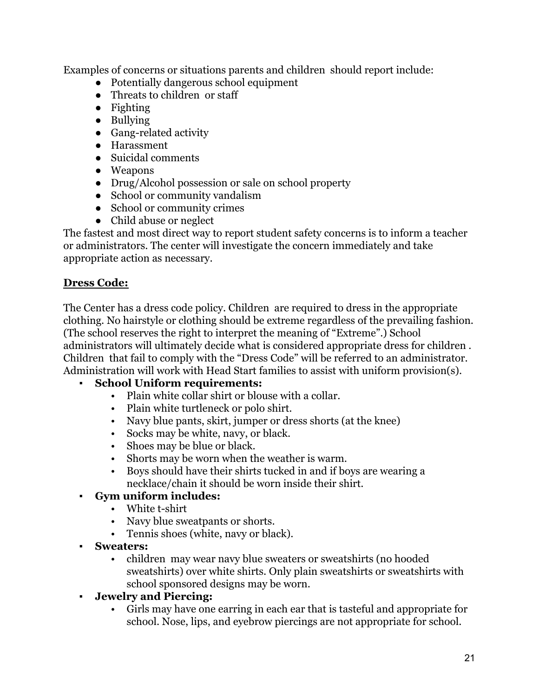Examples of concerns or situations parents and children should report include:

- Potentially dangerous school equipment
- Threats to children or staff
- Fighting
- Bullying
- Gang-related activity
- Harassment
- Suicidal comments
- Weapons
- Drug/Alcohol possession or sale on school property
- School or community vandalism
- School or community crimes
- Child abuse or neglect

The fastest and most direct way to report student safety concerns is to inform a teacher or administrators. The center will investigate the concern immediately and take appropriate action as necessary.

## **Dress Code:**

The Center has a dress code policy. Children are required to dress in the appropriate clothing. No hairstyle or clothing should be extreme regardless of the prevailing fashion. (The school reserves the right to interpret the meaning of "Extreme".) School administrators will ultimately decide what is considered appropriate dress for children . Children that fail to comply with the "Dress Code" will be referred to an administrator. Administration will work with Head Start families to assist with uniform provision(s).

## **School Uniform requirements:**

- Plain white collar shirt or blouse with a collar.
- Plain white turtleneck or polo shirt.
- Navy blue pants, skirt, jumper or dress shorts (at the knee)
- Socks may be white, navy, or black.
- Shoes may be blue or black.
- Shorts may be worn when the weather is warm.
- Boys should have their shirts tucked in and if boys are wearing a necklace/chain it should be worn inside their shirt.

## ▪ **Gym uniform includes:**

- White t-shirt
- Navy blue sweatpants or shorts.
- Tennis shoes (white, navy or black).
- **Sweaters:**
	- children may wear navy blue sweaters or sweatshirts (no hooded sweatshirts) over white shirts. Only plain sweatshirts or sweatshirts with school sponsored designs may be worn.
- **▪ Jewelry and Piercing:**
	- Girls may have one earring in each ear that is tasteful and appropriate for school. Nose, lips, and eyebrow piercings are not appropriate for school.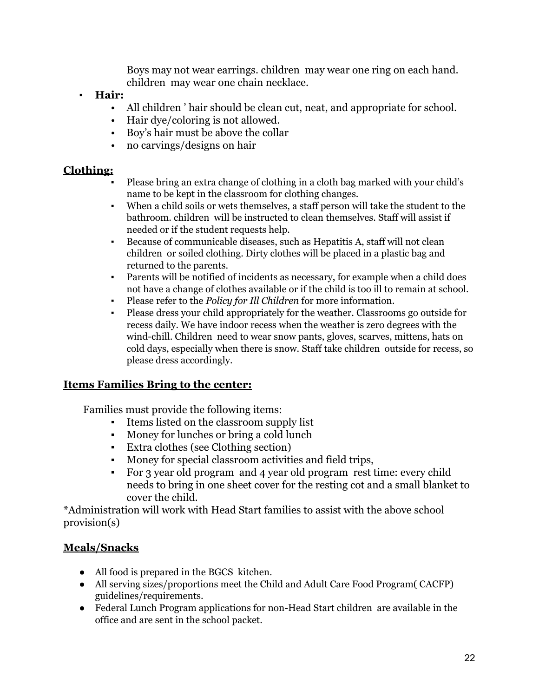Boys may not wear earrings. children may wear one ring on each hand. children may wear one chain necklace.

- **▪ Hair:**
	- All children ' hair should be clean cut, neat, and appropriate for school.
	- Hair dye/coloring is not allowed.
	- Boy's hair must be above the collar
	- no carvings/designs on hair

#### **Clothing:**

- Please bring an extra change of clothing in a cloth bag marked with your child's name to be kept in the classroom for clothing changes.
- When a child soils or wets themselves, a staff person will take the student to the bathroom. children will be instructed to clean themselves. Staff will assist if needed or if the student requests help.
- Because of communicable diseases, such as Hepatitis A, staff will not clean children or soiled clothing. Dirty clothes will be placed in a plastic bag and returned to the parents.
- Parents will be notified of incidents as necessary, for example when a child does not have a change of clothes available or if the child is too ill to remain at school.
- Please refer to the *Policy for Ill Children* for more information.
- Please dress your child appropriately for the weather. Classrooms go outside for recess daily. We have indoor recess when the weather is zero degrees with the wind-chill. Children need to wear snow pants, gloves, scarves, mittens, hats on cold days, especially when there is snow. Staff take children outside for recess, so please dress accordingly.

#### **Items Families Bring to the center:**

Families must provide the following items:

- Items listed on the classroom supply list
- Money for lunches or bring a cold lunch
- Extra clothes (see Clothing section)
- Money for special classroom activities and field trips,
- For 3 year old program and 4 year old program rest time: every child needs to bring in one sheet cover for the resting cot and a small blanket to cover the child.

\*Administration will work with Head Start families to assist with the above school provision(s)

## **Meals/Snacks**

- All food is prepared in the BGCS kitchen.
- All serving sizes/proportions meet the Child and Adult Care Food Program( CACFP) guidelines/requirements.
- Federal Lunch Program applications for non-Head Start children are available in the office and are sent in the school packet.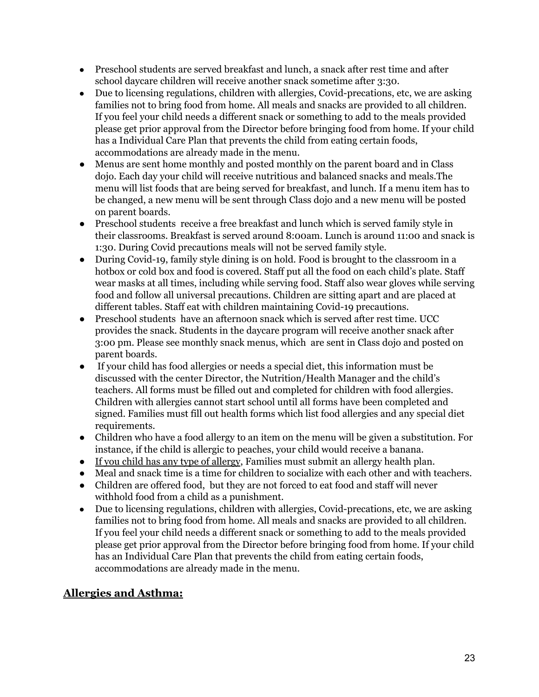- Preschool students are served breakfast and lunch, a snack after rest time and after school daycare children will receive another snack sometime after 3:30.
- Due to licensing regulations, children with allergies, Covid-precations, etc, we are asking families not to bring food from home. All meals and snacks are provided to all children. If you feel your child needs a different snack or something to add to the meals provided please get prior approval from the Director before bringing food from home. If your child has a Individual Care Plan that prevents the child from eating certain foods, accommodations are already made in the menu.
- Menus are sent home monthly and posted monthly on the parent board and in Class dojo. Each day your child will receive nutritious and balanced snacks and meals.The menu will list foods that are being served for breakfast, and lunch. If a menu item has to be changed, a new menu will be sent through Class dojo and a new menu will be posted on parent boards.
- Preschool students receive a free breakfast and lunch which is served family style in their classrooms. Breakfast is served around 8:00am. Lunch is around 11:00 and snack is 1:30. During Covid precautions meals will not be served family style.
- During Covid-19, family style dining is on hold. Food is brought to the classroom in a hotbox or cold box and food is covered. Staff put all the food on each child's plate. Staff wear masks at all times, including while serving food. Staff also wear gloves while serving food and follow all universal precautions. Children are sitting apart and are placed at different tables. Staff eat with children maintaining Covid-19 precautions.
- Preschool students have an afternoon snack which is served after rest time. UCC provides the snack. Students in the daycare program will receive another snack after 3:00 pm. Please see monthly snack menus, which are sent in Class dojo and posted on parent boards.
- If your child has food allergies or needs a special diet, this information must be discussed with the center Director, the Nutrition/Health Manager and the child's teachers. All forms must be filled out and completed for children with food allergies. Children with allergies cannot start school until all forms have been completed and signed. Families must fill out health forms which list food allergies and any special diet requirements.
- Children who have a food allergy to an item on the menu will be given a substitution. For instance, if the child is allergic to peaches, your child would receive a banana.
- If you child has any type of allergy, Families must submit an allergy health plan.
- Meal and snack time is a time for children to socialize with each other and with teachers.
- Children are offered food, but they are not forced to eat food and staff will never withhold food from a child as a punishment.
- Due to licensing regulations, children with allergies, Covid-precations, etc, we are asking families not to bring food from home. All meals and snacks are provided to all children. If you feel your child needs a different snack or something to add to the meals provided please get prior approval from the Director before bringing food from home. If your child has an Individual Care Plan that prevents the child from eating certain foods, accommodations are already made in the menu.

## **Allergies and Asthma:**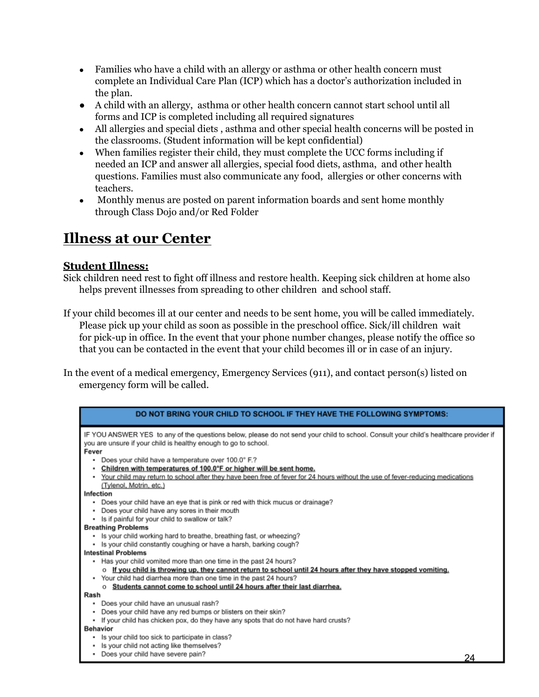- Families who have a child with an allergy or asthma or other health concern must complete an Individual Care Plan (ICP) which has a doctor's authorization included in the plan.
- A child with an allergy, asthma or other health concern cannot start school until all forms and ICP is completed including all required signatures
- All allergies and special diets, asthma and other special health concerns will be posted in the classrooms. (Student information will be kept confidential)
- When families register their child, they must complete the UCC forms including if needed an ICP and answer all allergies, special food diets, asthma, and other health questions. Families must also communicate any food, allergies or other concerns with teachers.
- Monthly menus are posted on parent information boards and sent home monthly through Class Dojo and/or Red Folder

## **Illness at our Center**

#### **Student Illness:**

Sick children need rest to fight off illness and restore health. Keeping sick children at home also helps prevent illnesses from spreading to other children and school staff.

- If your child becomes ill at our center and needs to be sent home, you will be called immediately. Please pick up your child as soon as possible in the preschool office. Sick/ill children wait for pick-up in office. In the event that your phone number changes, please notify the office so that you can be contacted in the event that your child becomes ill or in case of an injury.
- In the event of a medical emergency, Emergency Services (911), and contact person(s) listed on emergency form will be called.

| IF YOU ANSWER YES to any of the questions below, please do not send your child to school. Consult your child's healthcare provider if<br>you are unsure if your child is healthy enough to go to school. |
|----------------------------------------------------------------------------------------------------------------------------------------------------------------------------------------------------------|
| Fever                                                                                                                                                                                                    |
| Does your child have a temperature over 100.0° F.?                                                                                                                                                       |
| Children with temperatures of 100.0°F or higher will be sent home.                                                                                                                                       |
| Your child may return to school after they have been free of fever for 24 hours without the use of fever-reducing medications                                                                            |
| (Tylenol, Motrin, etc.)                                                                                                                                                                                  |
| Infection                                                                                                                                                                                                |
| Does your child have an eye that is pink or red with thick mucus or drainage?                                                                                                                            |
| Does your child have any sores in their mouth                                                                                                                                                            |
| Is if painful for your child to swallow or talk?<br><b>Breathing Problems</b>                                                                                                                            |
| Is your child working hard to breathe, breathing fast, or wheezing?                                                                                                                                      |
| Is your child constantly coughing or have a harsh, barking cough?                                                                                                                                        |
| <b>Intestinal Problems</b>                                                                                                                                                                               |
| Has your child vomited more than one time in the past 24 hours?                                                                                                                                          |
| o If you child is throwing up, they cannot return to school until 24 hours after they have stopped vomiting.                                                                                             |
| Your child had diarrhea more than one time in the past 24 hours?                                                                                                                                         |
| o Students cannot come to school until 24 hours after their last diarrhea.                                                                                                                               |
| Rash                                                                                                                                                                                                     |
| Does your child have an unusual rash?<br>٠                                                                                                                                                               |
| Does your child have any red bumps or blisters on their skin?                                                                                                                                            |
| • If your child has chicken pox, do they have any spots that do not have hard crusts?                                                                                                                    |
| <b>Behavior</b>                                                                                                                                                                                          |
| Is your child too sick to participate in class?                                                                                                                                                          |
| Is your child not acting like themselves?                                                                                                                                                                |
| Does your child have severe pain?<br>24                                                                                                                                                                  |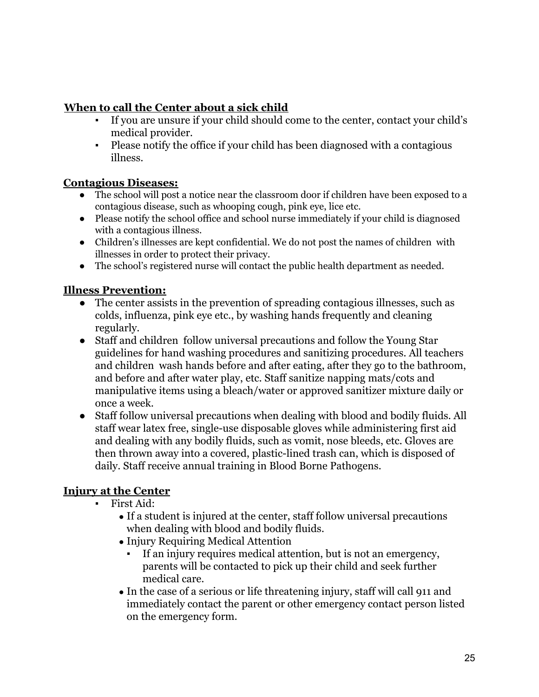## **When to call the Center about a sick child**

- If you are unsure if your child should come to the center, contact your child's medical provider.
- Please notify the office if your child has been diagnosed with a contagious illness.

#### **Contagious Diseases:**

- The school will post a notice near the classroom door if children have been exposed to a contagious disease, such as whooping cough, pink eye, lice etc.
- Please notify the school office and school nurse immediately if your child is diagnosed with a contagious illness.
- Children's illnesses are kept confidential. We do not post the names of children with illnesses in order to protect their privacy.
- The school's registered nurse will contact the public health department as needed.

#### **Illness Prevention:**

- The center assists in the prevention of spreading contagious illnesses, such as colds, influenza, pink eye etc., by washing hands frequently and cleaning regularly.
- Staff and children follow universal precautions and follow the Young Star guidelines for hand washing procedures and sanitizing procedures. All teachers and children wash hands before and after eating, after they go to the bathroom, and before and after water play, etc. Staff sanitize napping mats/cots and manipulative items using a bleach/water or approved sanitizer mixture daily or once a week.
- Staff follow universal precautions when dealing with blood and bodily fluids. All staff wear latex free, single-use disposable gloves while administering first aid and dealing with any bodily fluids, such as vomit, nose bleeds, etc. Gloves are then thrown away into a covered, plastic-lined trash can, which is disposed of daily. Staff receive annual training in Blood Borne Pathogens.

## **Injury at the Center**

- First Aid:
	- If a student is injured at the center, staff follow universal precautions when dealing with blood and bodily fluids.
	- Injury Requiring Medical Attention
		- If an injury requires medical attention, but is not an emergency, parents will be contacted to pick up their child and seek further medical care.
	- In the case of a serious or life threatening injury, staff will call 911 and immediately contact the parent or other emergency contact person listed on the emergency form.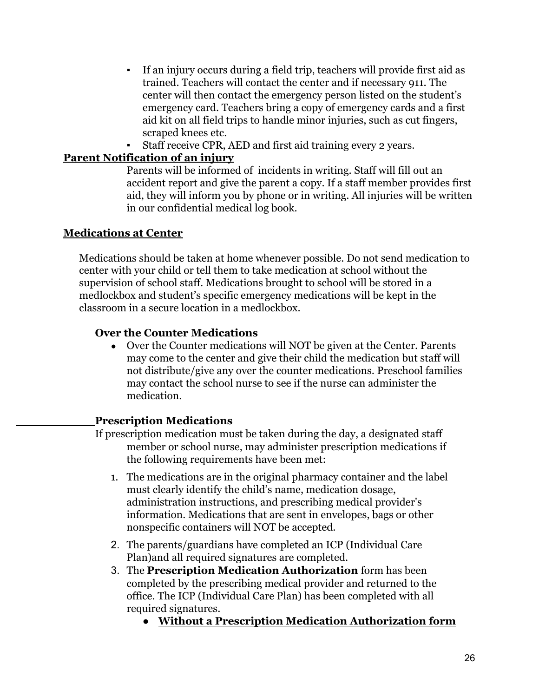- If an injury occurs during a field trip, teachers will provide first aid as trained. Teachers will contact the center and if necessary 911. The center will then contact the emergency person listed on the student's emergency card. Teachers bring a copy of emergency cards and a first aid kit on all field trips to handle minor injuries, such as cut fingers, scraped knees etc.
- Staff receive CPR, AED and first aid training every 2 years.

#### **Parent Notification of an injury**

Parents will be informed of incidents in writing. Staff will fill out an accident report and give the parent a copy. If a staff member provides first aid, they will inform you by phone or in writing. All injuries will be written in our confidential medical log book.

#### **Medications at Center**

Medications should be taken at home whenever possible. Do not send medication to center with your child or tell them to take medication at school without the supervision of school staff. Medications brought to school will be stored in a medlockbox and student's specific emergency medications will be kept in the classroom in a secure location in a medlockbox.

#### **Over the Counter Medications**

• Over the Counter medications will NOT be given at the Center. Parents may come to the center and give their child the medication but staff will not distribute/give any over the counter medications. Preschool families may contact the school nurse to see if the nurse can administer the medication.

#### **Prescription Medications**

- If prescription medication must be taken during the day, a designated staff member or school nurse, may administer prescription medications if the following requirements have been met:
	- 1. The medications are in the original pharmacy container and the label must clearly identify the child's name, medication dosage, administration instructions, and prescribing medical provider's information. Medications that are sent in envelopes, bags or other nonspecific containers will NOT be accepted.
	- 2. The parents/guardians have completed an ICP (Individual Care Plan)and all required signatures are completed.
	- 3. The **Prescription Medication Authorization** form has been completed by the prescribing medical provider and returned to the office. The ICP (Individual Care Plan) has been completed with all required signatures.
		- **Without a Prescription Medication Authorization form**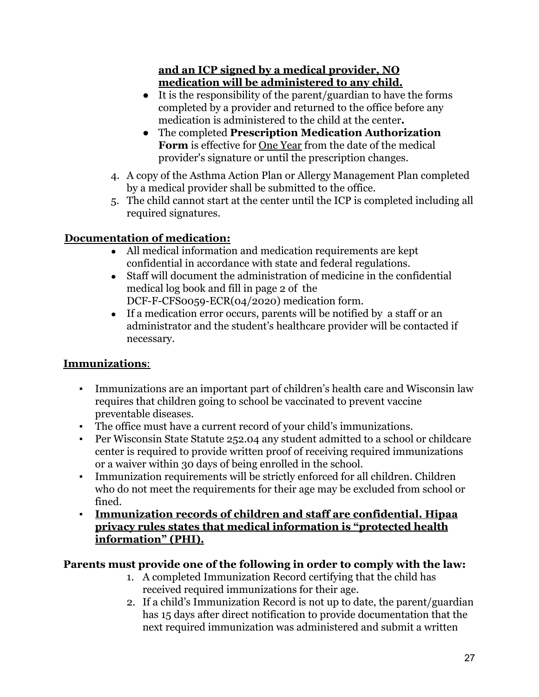## **and an ICP signed by a medical provider, NO medication will be administered to any child.**

- It is the responsibility of the parent/guardian to have the forms completed by a provider and returned to the office before any medication is administered to the child at the center**.**
- The completed **Prescription Medication Authorization Form** is effective for One Year from the date of the medical provider's signature or until the prescription changes.
- 4. A copy of the Asthma Action Plan or Allergy Management Plan completed by a medical provider shall be submitted to the office.
- 5. The child cannot start at the center until the ICP is completed including all required signatures.

## **Documentation of medication:**

- All medical information and medication requirements are kept confidential in accordance with state and federal regulations.
- Staff will document the administration of medicine in the confidential medical log book and fill in page 2 of the DCF-F-CFS0059-ECR(04/2020) medication form.
- If a medication error occurs, parents will be notified by a staff or an administrator and the student's healthcare provider will be contacted if necessary.

## **Immunizations**:

- Immunizations are an important part of children's health care and Wisconsin law requires that children going to school be vaccinated to prevent vaccine preventable diseases.
- The office must have a current record of your child's immunizations.
- Per Wisconsin State Statute 252.04 any student admitted to a school or childcare center is required to provide written proof of receiving required immunizations or a waiver within 30 days of being enrolled in the school.
- Immunization requirements will be strictly enforced for all children. Children who do not meet the requirements for their age may be excluded from school or fined.
- **▪ Immunization records of children and staff are confidential. Hipaa privacy rules states that medical information is "protected health information" (PHI).**

## **Parents must provide one of the following in order to comply with the law:**

- 1. A completed Immunization Record certifying that the child has received required immunizations for their age.
- 2. If a child's Immunization Record is not up to date, the parent/guardian has 15 days after direct notification to provide documentation that the next required immunization was administered and submit a written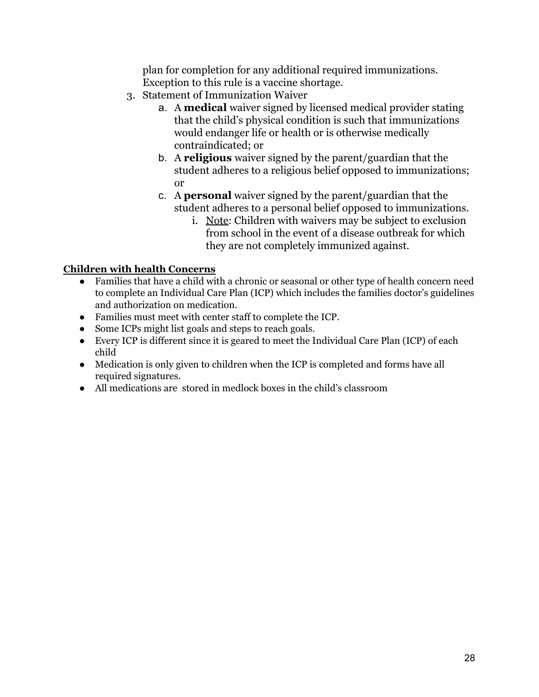plan for completion for any additional required immunizations. Exception to this rule is a vaccine shortage.

- 3. Statement of Immunization Waiver
	- a. A **medical** waiver signed by licensed medical provider stating that the child's physical condition is such that immunizations would endanger life or health or is otherwise medically contraindicated; or
	- b. A **religious** waiver signed by the parent/guardian that the student adheres to a religious belief opposed to immunizations; or
	- c. A **personal** waiver signed by the parent/guardian that the student adheres to a personal belief opposed to immunizations.
		- i. Note: Children with waivers may be subject to exclusion from school in the event of a disease outbreak for which they are not completely immunized against.

#### **Children with health Concerns**

- **●** Families that have a child with a chronic or seasonal or other type of health concern need to complete an Individual Care Plan (ICP) which includes the families doctor's guidelines and authorization on medication.
- **●** Families must meet with center staff to complete the ICP.
- **●** Some ICPs might list goals and steps to reach goals.
- **●** Every ICP is different since it is geared to meet the Individual Care Plan (ICP) of each child
- **●** Medication is only given to children when the ICP is completed and forms have all required signatures.
- **●** All medications are stored in medlock boxes in the child's classroom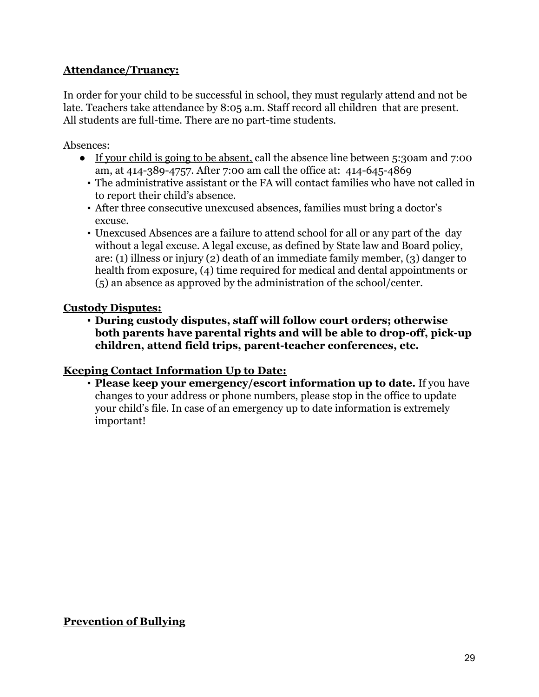## **Attendance/Truancy:**

In order for your child to be successful in school, they must regularly attend and not be late. Teachers take attendance by 8:05 a.m. Staff record all children that are present. All students are full-time. There are no part-time students.

Absences:

- If your child is going to be absent, call the absence line between 5:30am and 7:00 am, at 414-389-4757. After 7:00 am call the office at: 414-645-4869
	- The administrative assistant or the FA will contact families who have not called in to report their child's absence.
	- After three consecutive unexcused absences, families must bring a doctor's excuse.
	- Unexcused Absences are a failure to attend school for all or any part of the day without a legal excuse. A legal excuse, as defined by State law and Board policy, are: (1) illness or injury (2) death of an immediate family member, (3) danger to health from exposure, (4) time required for medical and dental appointments or (5) an absence as approved by the administration of the school/center.

#### **Custody Disputes:**

**▪ During custody disputes, staff will follow court orders; otherwise both parents have parental rights and will be able to drop-off, pick-up children, attend field trips, parent-teacher conferences, etc.**

#### **Keeping Contact Information Up to Date:**

▪ **Please keep your emergency/escort information up to date.** If you have changes to your address or phone numbers, please stop in the office to update your child's file. In case of an emergency up to date information is extremely important!

**Prevention of Bullying**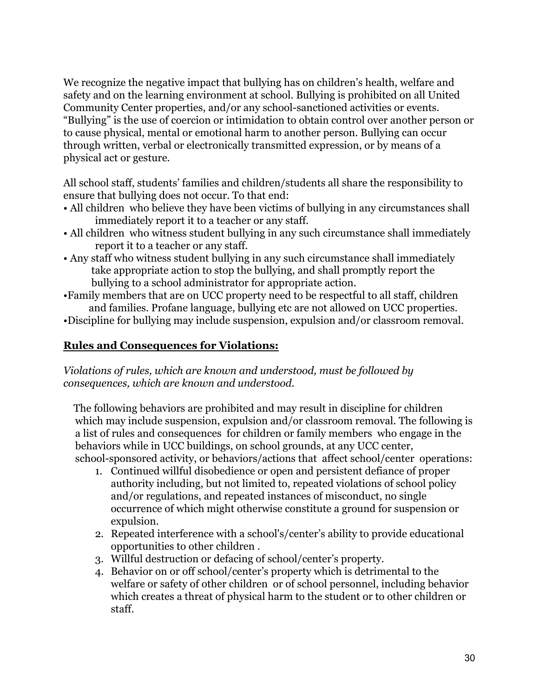We recognize the negative impact that bullying has on children's health, welfare and safety and on the learning environment at school. Bullying is prohibited on all United Community Center properties, and/or any school-sanctioned activities or events. "Bullying" is the use of coercion or intimidation to obtain control over another person or to cause physical, mental or emotional harm to another person. Bullying can occur through written, verbal or electronically transmitted expression, or by means of a physical act or gesture.

All school staff, students' families and children/students all share the responsibility to ensure that bullying does not occur. To that end:

- All children who believe they have been victims of bullying in any circumstances shall immediately report it to a teacher or any staff.
- All children who witness student bullying in any such circumstance shall immediately report it to a teacher or any staff.
- Any staff who witness student bullying in any such circumstance shall immediately take appropriate action to stop the bullying, and shall promptly report the bullying to a school administrator for appropriate action.
- •Family members that are on UCC property need to be respectful to all staff, children and families. Profane language, bullying etc are not allowed on UCC properties.
- •Discipline for bullying may include suspension, expulsion and/or classroom removal.

## **Rules and Consequences for Violations:**

*Violations of rules, which are known and understood, must be followed by consequences, which are known and understood.*

The following behaviors are prohibited and may result in discipline for children which may include suspension, expulsion and/or classroom removal. The following is a list of rules and consequences for children or family members who engage in the behaviors while in UCC buildings, on school grounds, at any UCC center, school-sponsored activity, or behaviors/actions that affect school/center operations:

- 1. Continued willful disobedience or open and persistent defiance of proper authority including, but not limited to, repeated violations of school policy and/or regulations, and repeated instances of misconduct, no single occurrence of which might otherwise constitute a ground for suspension or expulsion.
- 2. Repeated interference with a school's/center's ability to provide educational opportunities to other children .
- 3. Willful destruction or defacing of school/center's property.
- 4. Behavior on or off school/center's property which is detrimental to the welfare or safety of other children or of school personnel, including behavior which creates a threat of physical harm to the student or to other children or staff.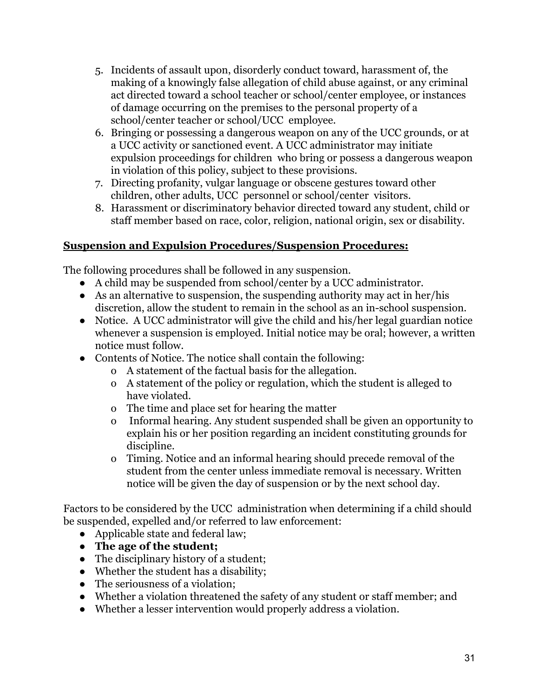- 5. Incidents of assault upon, disorderly conduct toward, harassment of, the making of a knowingly false allegation of child abuse against, or any criminal act directed toward a school teacher or school/center employee, or instances of damage occurring on the premises to the personal property of a school/center teacher or school/UCC employee.
- 6. Bringing or possessing a dangerous weapon on any of the UCC grounds, or at a UCC activity or sanctioned event. A UCC administrator may initiate expulsion proceedings for children who bring or possess a dangerous weapon in violation of this policy, subject to these provisions.
- 7. Directing profanity, vulgar language or obscene gestures toward other children, other adults, UCC personnel or school/center visitors.
- 8. Harassment or discriminatory behavior directed toward any student, child or staff member based on race, color, religion, national origin, sex or disability.

## **Suspension and Expulsion Procedures/Suspension Procedures:**

The following procedures shall be followed in any suspension.

- A child may be suspended from school/center by a UCC administrator.
- As an alternative to suspension, the suspending authority may act in her/his discretion, allow the student to remain in the school as an in-school suspension.
- Notice. A UCC administrator will give the child and his/her legal guardian notice whenever a suspension is employed. Initial notice may be oral; however, a written notice must follow.
- Contents of Notice. The notice shall contain the following:
	- o A statement of the factual basis for the allegation.
	- o A statement of the policy or regulation, which the student is alleged to have violated.
	- o The time and place set for hearing the matter
	- o Informal hearing. Any student suspended shall be given an opportunity to explain his or her position regarding an incident constituting grounds for discipline.
	- o Timing. Notice and an informal hearing should precede removal of the student from the center unless immediate removal is necessary. Written notice will be given the day of suspension or by the next school day.

Factors to be considered by the UCC administration when determining if a child should be suspended, expelled and/or referred to law enforcement:

- Applicable state and federal law:
- **The age of the student;**
- The disciplinary history of a student;
- Whether the student has a disability;
- The seriousness of a violation;
- Whether a violation threatened the safety of any student or staff member; and
- Whether a lesser intervention would properly address a violation.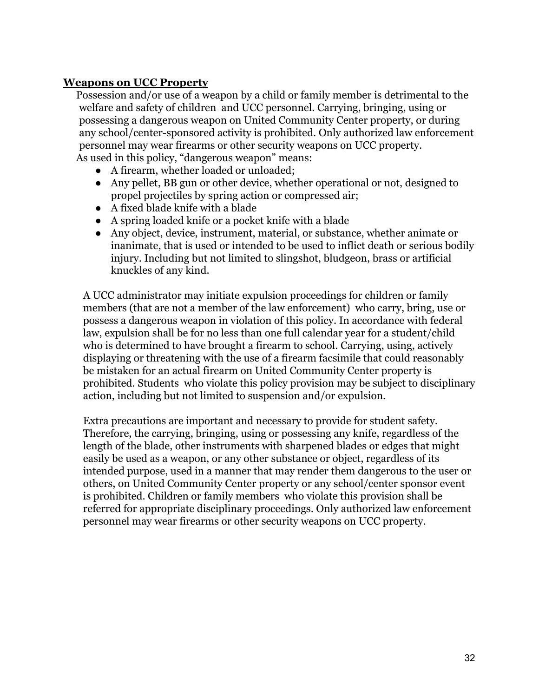#### **Weapons on UCC Property**

Possession and/or use of a weapon by a child or family member is detrimental to the welfare and safety of children and UCC personnel. Carrying, bringing, using or possessing a dangerous weapon on United Community Center property, or during any school/center-sponsored activity is prohibited. Only authorized law enforcement personnel may wear firearms or other security weapons on UCC property. As used in this policy, "dangerous weapon" means:

- A firearm, whether loaded or unloaded;
- Any pellet, BB gun or other device, whether operational or not, designed to propel projectiles by spring action or compressed air;
- A fixed blade knife with a blade
- A spring loaded knife or a pocket knife with a blade
- Any object, device, instrument, material, or substance, whether animate or inanimate, that is used or intended to be used to inflict death or serious bodily injury. Including but not limited to slingshot, bludgeon, brass or artificial knuckles of any kind.

A UCC administrator may initiate expulsion proceedings for children or family members (that are not a member of the law enforcement) who carry, bring, use or possess a dangerous weapon in violation of this policy. In accordance with federal law, expulsion shall be for no less than one full calendar year for a student/child who is determined to have brought a firearm to school. Carrying, using, actively displaying or threatening with the use of a firearm facsimile that could reasonably be mistaken for an actual firearm on United Community Center property is prohibited. Students who violate this policy provision may be subject to disciplinary action, including but not limited to suspension and/or expulsion.

Extra precautions are important and necessary to provide for student safety. Therefore, the carrying, bringing, using or possessing any knife, regardless of the length of the blade, other instruments with sharpened blades or edges that might easily be used as a weapon, or any other substance or object, regardless of its intended purpose, used in a manner that may render them dangerous to the user or others, on United Community Center property or any school/center sponsor event is prohibited. Children or family members who violate this provision shall be referred for appropriate disciplinary proceedings. Only authorized law enforcement personnel may wear firearms or other security weapons on UCC property.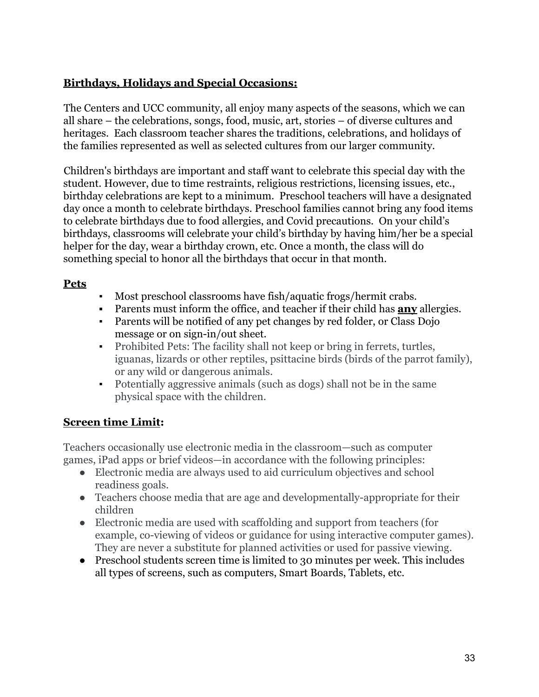## **Birthdays, Holidays and Special Occasions:**

The Centers and UCC community, all enjoy many aspects of the seasons, which we can all share – the celebrations, songs, food, music, art, stories – of diverse cultures and heritages. Each classroom teacher shares the traditions, celebrations, and holidays of the families represented as well as selected cultures from our larger community.

Children's birthdays are important and staff want to celebrate this special day with the student. However, due to time restraints, religious restrictions, licensing issues, etc., birthday celebrations are kept to a minimum. Preschool teachers will have a designated day once a month to celebrate birthdays. Preschool families cannot bring any food items to celebrate birthdays due to food allergies, and Covid precautions. On your child's birthdays, classrooms will celebrate your child's birthday by having him/her be a special helper for the day, wear a birthday crown, etc. Once a month, the class will do something special to honor all the birthdays that occur in that month.

#### **Pets**

- Most preschool classrooms have fish/aquatic frogs/hermit crabs.
- Parents must inform the office, and teacher if their child has **any** allergies.
- Parents will be notified of any pet changes by red folder, or Class Dojo message or on sign-in/out sheet.
- Prohibited Pets: The facility shall not keep or bring in ferrets, turtles, iguanas, lizards or other reptiles, psittacine birds (birds of the parrot family), or any wild or dangerous animals.
- Potentially aggressive animals (such as dogs) shall not be in the same physical space with the children.

## **Screen time Limit:**

Teachers occasionally use electronic media in the classroom—such as computer games, iPad apps or brief videos—in accordance with the following principles:

- Electronic media are always used to aid curriculum objectives and school readiness goals.
- Teachers choose media that are age and developmentally-appropriate for their children
- Electronic media are used with scaffolding and support from teachers (for example, co-viewing of videos or guidance for using interactive computer games). They are never a substitute for planned activities or used for passive viewing.
- Preschool students screen time is limited to 30 minutes per week. This includes all types of screens, such as computers, Smart Boards, Tablets, etc.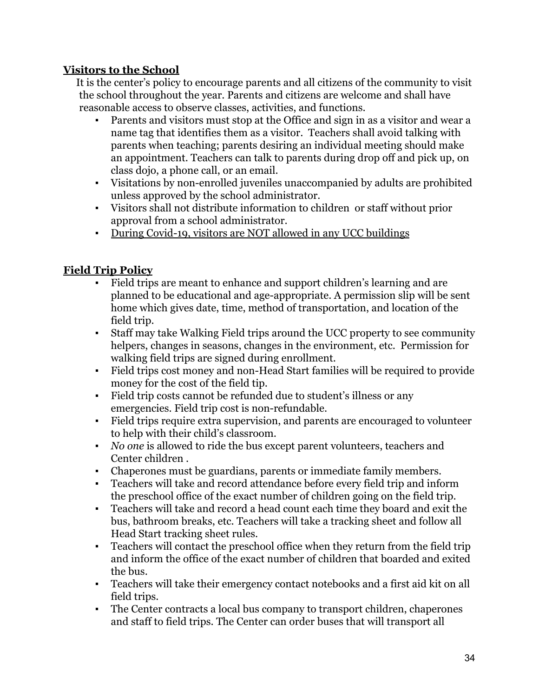## **Visitors to the School**

It is the center's policy to encourage parents and all citizens of the community to visit the school throughout the year. Parents and citizens are welcome and shall have reasonable access to observe classes, activities, and functions.

- Parents and visitors must stop at the Office and sign in as a visitor and wear a name tag that identifies them as a visitor. Teachers shall avoid talking with parents when teaching; parents desiring an individual meeting should make an appointment. Teachers can talk to parents during drop off and pick up, on class dojo, a phone call, or an email.
- Visitations by non-enrolled juveniles unaccompanied by adults are prohibited unless approved by the school administrator.
- Visitors shall not distribute information to children or staff without prior approval from a school administrator.
- During Covid-19, visitors are NOT allowed in any UCC buildings

## **Field Trip Policy**

- Field trips are meant to enhance and support children's learning and are planned to be educational and age-appropriate. A permission slip will be sent home which gives date, time, method of transportation, and location of the field trip.
- Staff may take Walking Field trips around the UCC property to see community helpers, changes in seasons, changes in the environment, etc. Permission for walking field trips are signed during enrollment.
- Field trips cost money and non-Head Start families will be required to provide money for the cost of the field tip.
- Field trip costs cannot be refunded due to student's illness or any emergencies. Field trip cost is non-refundable.
- Field trips require extra supervision, and parents are encouraged to volunteer to help with their child's classroom.
- *No one* is allowed to ride the bus except parent volunteers, teachers and Center children .
- Chaperones must be guardians, parents or immediate family members.
- Teachers will take and record attendance before every field trip and inform the preschool office of the exact number of children going on the field trip.
- Teachers will take and record a head count each time they board and exit the bus, bathroom breaks, etc. Teachers will take a tracking sheet and follow all Head Start tracking sheet rules.
- Teachers will contact the preschool office when they return from the field trip and inform the office of the exact number of children that boarded and exited the bus.
- Teachers will take their emergency contact notebooks and a first aid kit on all field trips.
- The Center contracts a local bus company to transport children, chaperones and staff to field trips. The Center can order buses that will transport all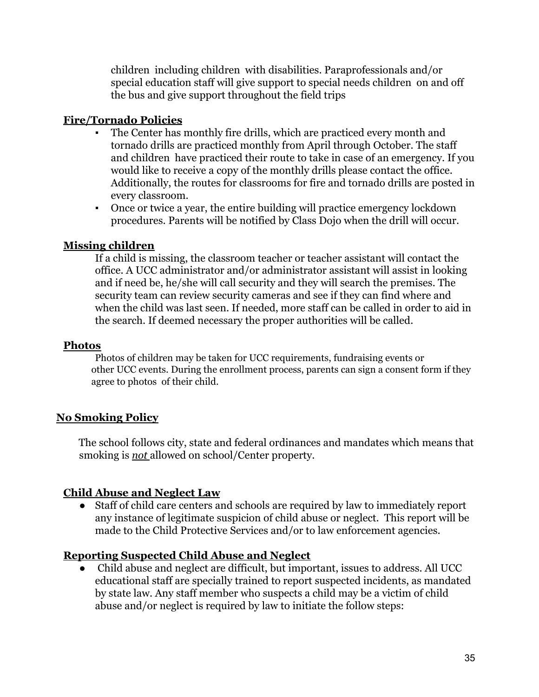children including children with disabilities. Paraprofessionals and/or special education staff will give support to special needs children on and off the bus and give support throughout the field trips

## **Fire/Tornado Policies**

- The Center has monthly fire drills, which are practiced every month and tornado drills are practiced monthly from April through October. The staff and children have practiced their route to take in case of an emergency. If you would like to receive a copy of the monthly drills please contact the office. Additionally, the routes for classrooms for fire and tornado drills are posted in every classroom.
- Once or twice a year, the entire building will practice emergency lockdown procedures. Parents will be notified by Class Dojo when the drill will occur.

#### **Missing children**

If a child is missing, the classroom teacher or teacher assistant will contact the office. A UCC administrator and/or administrator assistant will assist in looking and if need be, he/she will call security and they will search the premises. The security team can review security cameras and see if they can find where and when the child was last seen. If needed, more staff can be called in order to aid in the search. If deemed necessary the proper authorities will be called.

#### **Photos**

Photos of children may be taken for UCC requirements, fundraising events or other UCC events. During the enrollment process, parents can sign a consent form if they agree to photos of their child.

## **No Smoking Policy**

The school follows city, state and federal ordinances and mandates which means that smoking is *not* allowed on school/Center property.

## **Child Abuse and Neglect Law**

● Staff of child care centers and schools are required by law to immediately report any instance of legitimate suspicion of child abuse or neglect. This report will be made to the Child Protective Services and/or to law enforcement agencies.

## **Reporting Suspected Child Abuse and Neglect**

● Child abuse and neglect are difficult, but important, issues to address. All UCC educational staff are specially trained to report suspected incidents, as mandated by state law. Any staff member who suspects a child may be a victim of child abuse and/or neglect is required by law to initiate the follow steps: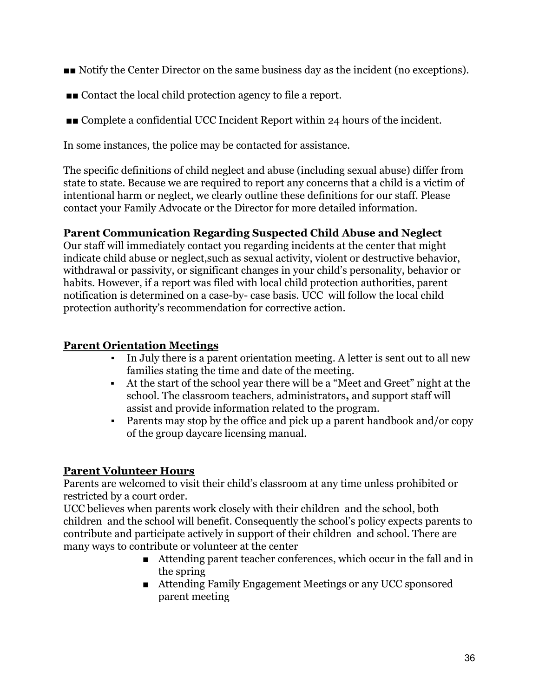- ■■ Notify the Center Director on the same business day as the incident (no exceptions).
- ■■ Contact the local child protection agency to file a report.
- ■■ Complete a confidential UCC Incident Report within 24 hours of the incident.

In some instances, the police may be contacted for assistance.

The specific definitions of child neglect and abuse (including sexual abuse) differ from state to state. Because we are required to report any concerns that a child is a victim of intentional harm or neglect, we clearly outline these definitions for our staff. Please contact your Family Advocate or the Director for more detailed information.

#### **Parent Communication Regarding Suspected Child Abuse and Neglect**

Our staff will immediately contact you regarding incidents at the center that might indicate child abuse or neglect,such as sexual activity, violent or destructive behavior, withdrawal or passivity, or significant changes in your child's personality, behavior or habits. However, if a report was filed with local child protection authorities, parent notification is determined on a case-by- case basis. UCC will follow the local child protection authority's recommendation for corrective action.

## **Parent Orientation Meetings**

- In July there is a parent orientation meeting. A letter is sent out to all new families stating the time and date of the meeting.
- At the start of the school year there will be a "Meet and Greet" night at the school. The classroom teachers, administrators**,** and support staff will assist and provide information related to the program.
- Parents may stop by the office and pick up a parent handbook and/or copy of the group daycare licensing manual.

## **Parent Volunteer Hours**

Parents are welcomed to visit their child's classroom at any time unless prohibited or restricted by a court order.

UCC believes when parents work closely with their children and the school, both children and the school will benefit. Consequently the school's policy expects parents to contribute and participate actively in support of their children and school. There are many ways to contribute or volunteer at the center

- Attending parent teacher conferences, which occur in the fall and in the spring
- Attending Family Engagement Meetings or any UCC sponsored parent meeting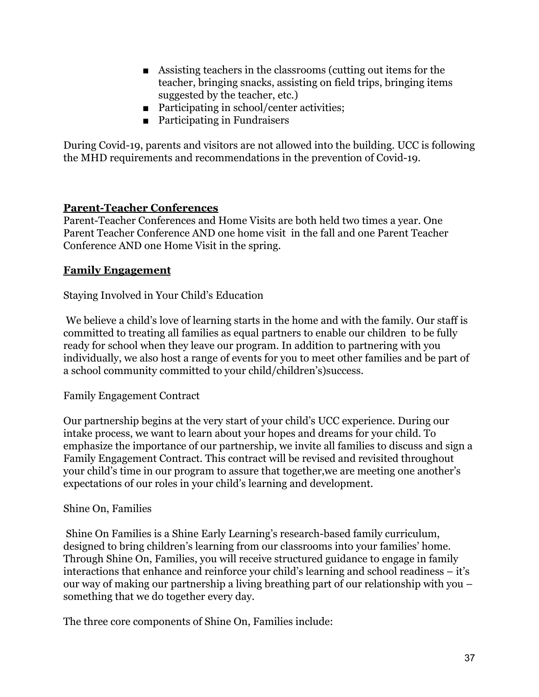- Assisting teachers in the classrooms (cutting out items for the teacher, bringing snacks, assisting on field trips, bringing items suggested by the teacher, etc.)
- Participating in school/center activities;
- Participating in Fundraisers

During Covid-19, parents and visitors are not allowed into the building. UCC is following the MHD requirements and recommendations in the prevention of Covid-19.

#### **Parent-Teacher Conferences**

Parent-Teacher Conferences and Home Visits are both held two times a year. One Parent Teacher Conference AND one home visit in the fall and one Parent Teacher Conference AND one Home Visit in the spring.

#### **Family Engagement**

Staying Involved in Your Child's Education

We believe a child's love of learning starts in the home and with the family. Our staff is committed to treating all families as equal partners to enable our children to be fully ready for school when they leave our program. In addition to partnering with you individually, we also host a range of events for you to meet other families and be part of a school community committed to your child/children's)success.

Family Engagement Contract

Our partnership begins at the very start of your child's UCC experience. During our intake process, we want to learn about your hopes and dreams for your child. To emphasize the importance of our partnership, we invite all families to discuss and sign a Family Engagement Contract. This contract will be revised and revisited throughout your child's time in our program to assure that together,we are meeting one another's expectations of our roles in your child's learning and development.

#### Shine On, Families

Shine On Families is a Shine Early Learning's research-based family curriculum, designed to bring children's learning from our classrooms into your families' home. Through Shine On, Families, you will receive structured guidance to engage in family interactions that enhance and reinforce your child's learning and school readiness – it's our way of making our partnership a living breathing part of our relationship with you – something that we do together every day.

The three core components of Shine On, Families include: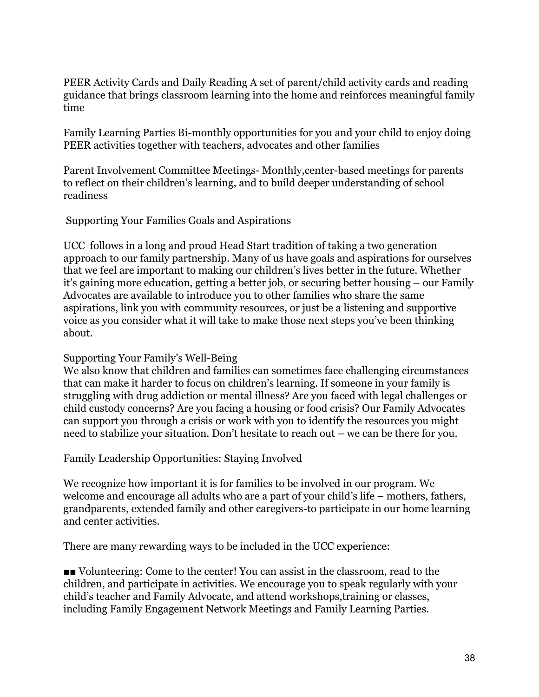PEER Activity Cards and Daily Reading A set of parent/child activity cards and reading guidance that brings classroom learning into the home and reinforces meaningful family time

Family Learning Parties Bi-monthly opportunities for you and your child to enjoy doing PEER activities together with teachers, advocates and other families

Parent Involvement Committee Meetings- Monthly,center-based meetings for parents to reflect on their children's learning, and to build deeper understanding of school readiness

Supporting Your Families Goals and Aspirations

UCC follows in a long and proud Head Start tradition of taking a two generation approach to our family partnership. Many of us have goals and aspirations for ourselves that we feel are important to making our children's lives better in the future. Whether it's gaining more education, getting a better job, or securing better housing – our Family Advocates are available to introduce you to other families who share the same aspirations, link you with community resources, or just be a listening and supportive voice as you consider what it will take to make those next steps you've been thinking about.

#### Supporting Your Family's Well-Being

We also know that children and families can sometimes face challenging circumstances that can make it harder to focus on children's learning. If someone in your family is struggling with drug addiction or mental illness? Are you faced with legal challenges or child custody concerns? Are you facing a housing or food crisis? Our Family Advocates can support you through a crisis or work with you to identify the resources you might need to stabilize your situation. Don't hesitate to reach out – we can be there for you.

Family Leadership Opportunities: Staying Involved

We recognize how important it is for families to be involved in our program. We welcome and encourage all adults who are a part of your child's life – mothers, fathers, grandparents, extended family and other caregivers-to participate in our home learning and center activities.

There are many rewarding ways to be included in the UCC experience:

■■ Volunteering: Come to the center! You can assist in the classroom, read to the children, and participate in activities. We encourage you to speak regularly with your child's teacher and Family Advocate, and attend workshops,training or classes, including Family Engagement Network Meetings and Family Learning Parties.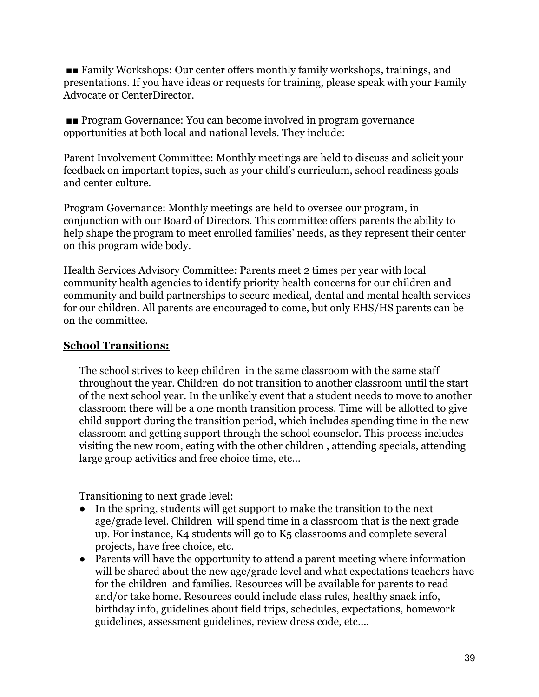■■ Family Workshops: Our center offers monthly family workshops, trainings, and presentations. If you have ideas or requests for training, please speak with your Family Advocate or CenterDirector.

■■ Program Governance: You can become involved in program governance opportunities at both local and national levels. They include:

Parent Involvement Committee: Monthly meetings are held to discuss and solicit your feedback on important topics, such as your child's curriculum, school readiness goals and center culture.

Program Governance: Monthly meetings are held to oversee our program, in conjunction with our Board of Directors. This committee offers parents the ability to help shape the program to meet enrolled families' needs, as they represent their center on this program wide body.

Health Services Advisory Committee: Parents meet 2 times per year with local community health agencies to identify priority health concerns for our children and community and build partnerships to secure medical, dental and mental health services for our children. All parents are encouraged to come, but only EHS/HS parents can be on the committee.

## **School Transitions:**

The school strives to keep children in the same classroom with the same staff throughout the year. Children do not transition to another classroom until the start of the next school year. In the unlikely event that a student needs to move to another classroom there will be a one month transition process. Time will be allotted to give child support during the transition period, which includes spending time in the new classroom and getting support through the school counselor. This process includes visiting the new room, eating with the other children , attending specials, attending large group activities and free choice time, etc...

Transitioning to next grade level:

- In the spring, students will get support to make the transition to the next age/grade level. Children will spend time in a classroom that is the next grade up. For instance, K4 students will go to K5 classrooms and complete several projects, have free choice, etc.
- Parents will have the opportunity to attend a parent meeting where information will be shared about the new age/grade level and what expectations teachers have for the children and families. Resources will be available for parents to read and/or take home. Resources could include class rules, healthy snack info, birthday info, guidelines about field trips, schedules, expectations, homework guidelines, assessment guidelines, review dress code, etc….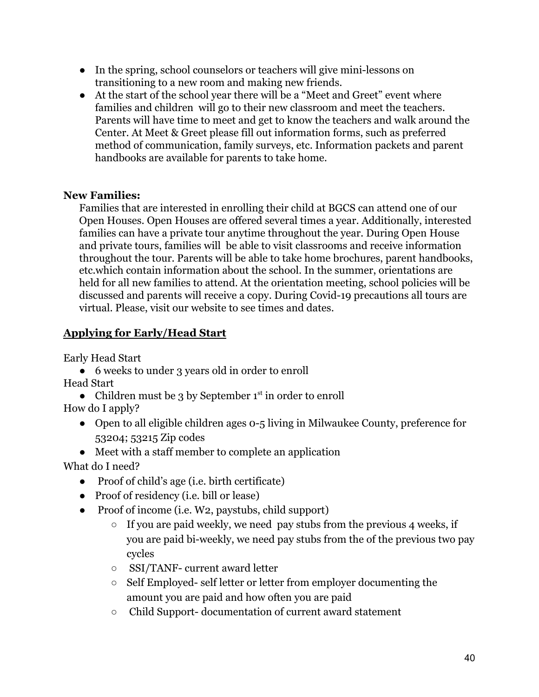- In the spring, school counselors or teachers will give mini-lessons on transitioning to a new room and making new friends.
- At the start of the school year there will be a "Meet and Greet" event where families and children will go to their new classroom and meet the teachers. Parents will have time to meet and get to know the teachers and walk around the Center. At Meet & Greet please fill out information forms, such as preferred method of communication, family surveys, etc. Information packets and parent handbooks are available for parents to take home.

## **New Families:**

Families that are interested in enrolling their child at BGCS can attend one of our Open Houses. Open Houses are offered several times a year. Additionally, interested families can have a private tour anytime throughout the year. During Open House and private tours, families will be able to visit classrooms and receive information throughout the tour. Parents will be able to take home brochures, parent handbooks, etc.which contain information about the school. In the summer, orientations are held for all new families to attend. At the orientation meeting, school policies will be discussed and parents will receive a copy. During Covid-19 precautions all tours are virtual. Please, visit our website to see times and dates.

## **Applying for Early/Head Start**

Early Head Start

- 6 weeks to under 3 years old in order to enroll Head Start
- Children must be 3 by September  $1<sup>st</sup>$  in order to enroll How do I apply?
	- Open to all eligible children ages 0-5 living in Milwaukee County, preference for 53204; 53215 Zip codes
	- Meet with a staff member to complete an application

What do I need?

- Proof of child's age (i.e. birth certificate)
- Proof of residency (i.e. bill or lease)
- Proof of income (i.e. W2, paystubs, child support)
	- $\circ$  If you are paid weekly, we need pay stubs from the previous 4 weeks, if you are paid bi-weekly, we need pay stubs from the of the previous two pay cycles
	- SSI/TANF- current award letter
	- Self Employed- self letter or letter from employer documenting the amount you are paid and how often you are paid
	- Child Support- documentation of current award statement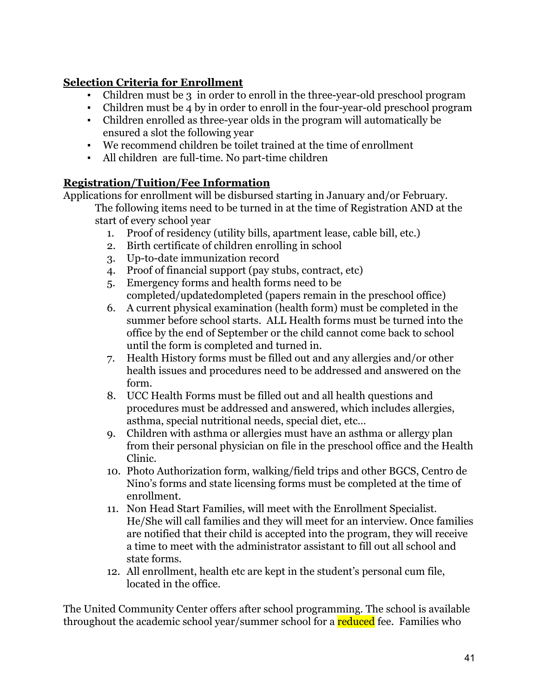## **Selection Criteria for Enrollment**

- Children must be 3 in order to enroll in the three-year-old preschool program
- Children must be 4 by in order to enroll in the four-year-old preschool program
- Children enrolled as three-year olds in the program will automatically be ensured a slot the following year
- We recommend children be toilet trained at the time of enrollment
- All children are full-time. No part-time children

## **Registration/Tuition/Fee Information**

Applications for enrollment will be disbursed starting in January and/or February.

The following items need to be turned in at the time of Registration AND at the start of every school year

- 1. Proof of residency (utility bills, apartment lease, cable bill, etc.)
- 2. Birth certificate of children enrolling in school
- 3. Up-to-date immunization record
- 4. Proof of financial support (pay stubs, contract, etc)
- 5. Emergency forms and health forms need to be completed/updatedompleted (papers remain in the preschool office)
- 6. A current physical examination (health form) must be completed in the summer before school starts. ALL Health forms must be turned into the office by the end of September or the child cannot come back to school until the form is completed and turned in.
- 7. Health History forms must be filled out and any allergies and/or other health issues and procedures need to be addressed and answered on the form.
- 8. UCC Health Forms must be filled out and all health questions and procedures must be addressed and answered, which includes allergies, asthma, special nutritional needs, special diet, etc…
- 9. Children with asthma or allergies must have an asthma or allergy plan from their personal physician on file in the preschool office and the Health Clinic.
- 10. Photo Authorization form, walking/field trips and other BGCS, Centro de Nino's forms and state licensing forms must be completed at the time of enrollment.
- 11. Non Head Start Families, will meet with the Enrollment Specialist. He/She will call families and they will meet for an interview. Once families are notified that their child is accepted into the program, they will receive a time to meet with the administrator assistant to fill out all school and state forms.
- 12. All enrollment, health etc are kept in the student's personal cum file, located in the office.

The United Community Center offers after school programming. The school is available throughout the academic school year/summer school for a reduced fee. Families who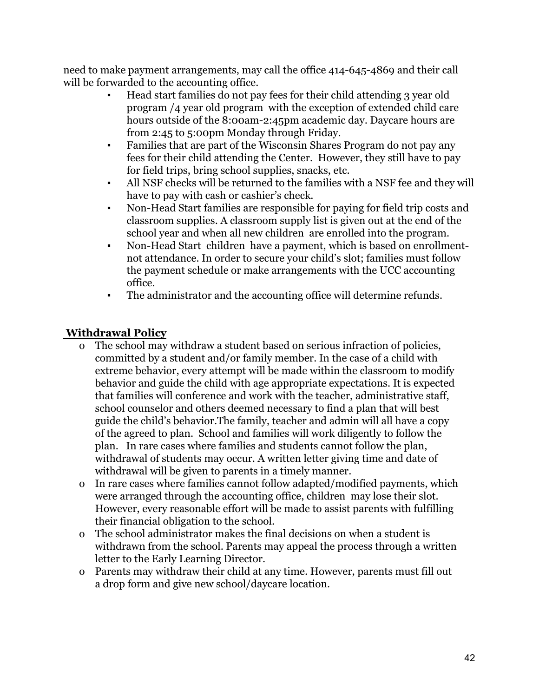need to make payment arrangements, may call the office 414-645-4869 and their call will be forwarded to the accounting office.

- **▪** Head start families do not pay fees for their child attending 3 year old program /4 year old program with the exception of extended child care hours outside of the 8:00am-2:45pm academic day. Daycare hours are from 2:45 to 5:00pm Monday through Friday.
- **▪** Families that are part of the Wisconsin Shares Program do not pay any fees for their child attending the Center. However, they still have to pay for field trips, bring school supplies, snacks, etc.
- **▪** All NSF checks will be returned to the families with a NSF fee and they will have to pay with cash or cashier's check.
- **▪** Non-Head Start families are responsible for paying for field trip costs and classroom supplies. A classroom supply list is given out at the end of the school year and when all new children are enrolled into the program.
- Non-Head Start children have a payment, which is based on enrollmentnot attendance. In order to secure your child's slot; families must follow the payment schedule or make arrangements with the UCC accounting office.
- The administrator and the accounting office will determine refunds.

## **Withdrawal Policy**

- o The school may withdraw a student based on serious infraction of policies, committed by a student and/or family member. In the case of a child with extreme behavior, every attempt will be made within the classroom to modify behavior and guide the child with age appropriate expectations. It is expected that families will conference and work with the teacher, administrative staff, school counselor and others deemed necessary to find a plan that will best guide the child's behavior.The family, teacher and admin will all have a copy of the agreed to plan. School and families will work diligently to follow the plan. In rare cases where families and students cannot follow the plan, withdrawal of students may occur. A written letter giving time and date of withdrawal will be given to parents in a timely manner.
- o In rare cases where families cannot follow adapted/modified payments, which were arranged through the accounting office, children may lose their slot. However, every reasonable effort will be made to assist parents with fulfilling their financial obligation to the school.
- o The school administrator makes the final decisions on when a student is withdrawn from the school. Parents may appeal the process through a written letter to the Early Learning Director.
- o Parents may withdraw their child at any time. However, parents must fill out a drop form and give new school/daycare location.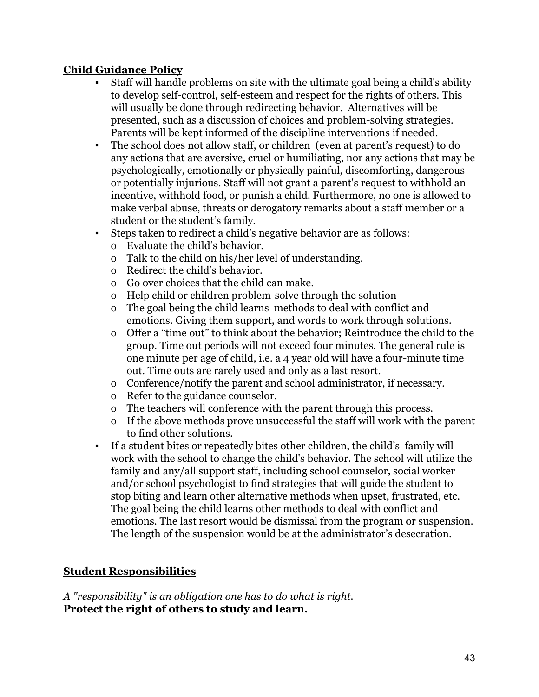## **Child Guidance Policy**

- Staff will handle problems on site with the ultimate goal being a child's ability to develop self-control, self-esteem and respect for the rights of others. This will usually be done through redirecting behavior. Alternatives will be presented, such as a discussion of choices and problem-solving strategies. Parents will be kept informed of the discipline interventions if needed.
- The school does not allow staff, or children (even at parent's request) to do any actions that are aversive, cruel or humiliating, nor any actions that may be psychologically, emotionally or physically painful, discomforting, dangerous or potentially injurious. Staff will not grant a parent's request to withhold an incentive, withhold food, or punish a child. Furthermore, no one is allowed to make verbal abuse, threats or derogatory remarks about a staff member or a student or the student's family.
- Steps taken to redirect a child's negative behavior are as follows:
	- o Evaluate the child's behavior.
	- o Talk to the child on his/her level of understanding.
	- o Redirect the child's behavior.
	- o Go over choices that the child can make.
	- o Help child or children problem-solve through the solution
	- o The goal being the child learns methods to deal with conflict and emotions. Giving them support, and words to work through solutions.
	- o Offer a "time out" to think about the behavior; Reintroduce the child to the group. Time out periods will not exceed four minutes. The general rule is one minute per age of child, i.e. a 4 year old will have a four-minute time out. Time outs are rarely used and only as a last resort.
	- o Conference/notify the parent and school administrator, if necessary.
	- o Refer to the guidance counselor.
	- o The teachers will conference with the parent through this process.
	- o If the above methods prove unsuccessful the staff will work with the parent to find other solutions.
- If a student bites or repeatedly bites other children, the child's family will work with the school to change the child's behavior. The school will utilize the family and any/all support staff, including school counselor, social worker and/or school psychologist to find strategies that will guide the student to stop biting and learn other alternative methods when upset, frustrated, etc. The goal being the child learns other methods to deal with conflict and emotions. The last resort would be dismissal from the program or suspension. The length of the suspension would be at the administrator's desecration.

## **Student Responsibilities**

*A "responsibility" is an obligation one has to do what is right.* **Protect the right of others to study and learn.**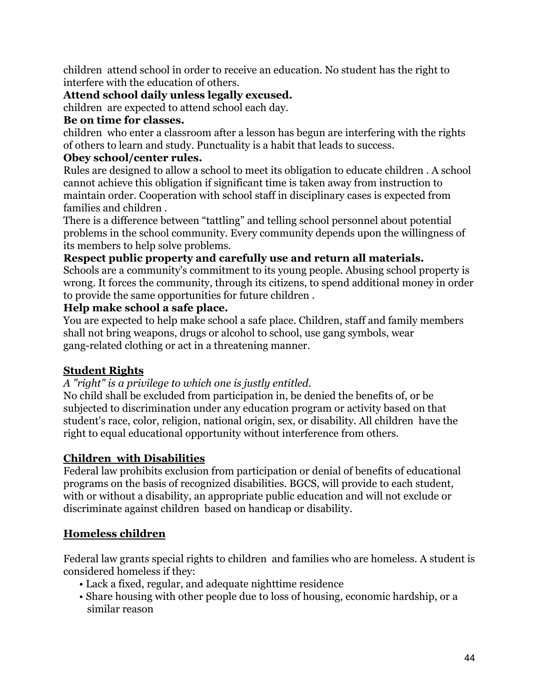children attend school in order to receive an education. No student has the right to interfere with the education of others.

## **Attend school daily unless legally excused.**

children are expected to attend school each day.

## **Be on time for classes.**

children who enter a classroom after a lesson has begun are interfering with the rights of others to learn and study. Punctuality is a habit that leads to success.

## **Obey school/center rules.**

Rules are designed to allow a school to meet its obligation to educate children . A school cannot achieve this obligation if significant time is taken away from instruction to maintain order. Cooperation with school staff in disciplinary cases is expected from families and children .

There is a difference between "tattling" and telling school personnel about potential problems in the school community. Every community depends upon the willingness of its members to help solve problems.

## **Respect public property and carefully use and return all materials.**

Schools are a community's commitment to its young people. Abusing school property is wrong. It forces the community, through its citizens, to spend additional money in order to provide the same opportunities for future children .

## **Help make school a safe place.**

You are expected to help make school a safe place. Children, staff and family members shall not bring weapons, drugs or alcohol to school, use gang symbols, wear gang-related clothing or act in a threatening manner.

## **Student Rights**

## *A "right" is a privilege to which one is justly entitled.*

No child shall be excluded from participation in, be denied the benefits of, or be subjected to discrimination under any education program or activity based on that student's race, color, religion, national origin, sex, or disability. All children have the right to equal educational opportunity without interference from others.

## **Children with Disabilities**

Federal law prohibits exclusion from participation or denial of benefits of educational programs on the basis of recognized disabilities. BGCS, will provide to each student, with or without a disability, an appropriate public education and will not exclude or discriminate against children based on handicap or disability.

## **Homeless children**

Federal law grants special rights to children and families who are homeless. A student is considered homeless if they:

- Lack a fixed, regular, and adequate nighttime residence
- Share housing with other people due to loss of housing, economic hardship, or a similar reason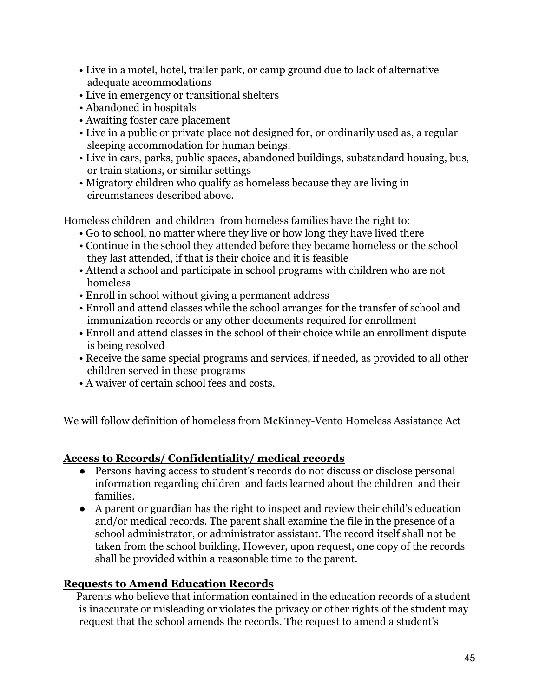- Live in a motel, hotel, trailer park, or camp ground due to lack of alternative adequate accommodations
- Live in emergency or transitional shelters
- Abandoned in hospitals
- Awaiting foster care placement
- Live in a public or private place not designed for, or ordinarily used as, a regular sleeping accommodation for human beings.
- Live in cars, parks, public spaces, abandoned buildings, substandard housing, bus, or train stations, or similar settings
- Migratory children who qualify as homeless because they are living in circumstances described above.

Homeless children and children from homeless families have the right to:

- Go to school, no matter where they live or how long they have lived there
- Continue in the school they attended before they became homeless or the school they last attended, if that is their choice and it is feasible
- Attend a school and participate in school programs with children who are not homeless
- Enroll in school without giving a permanent address
- Enroll and attend classes while the school arranges for the transfer of school and immunization records or any other documents required for enrollment
- Enroll and attend classes in the school of their choice while an enrollment dispute is being resolved
- Receive the same special programs and services, if needed, as provided to all other children served in these programs
- A waiver of certain school fees and costs.

We will follow definition of homeless from McKinney-Vento Homeless Assistance Act

#### **Access to Records/ Confidentiality/ medical records**

- Persons having access to student's records do not discuss or disclose personal information regarding children and facts learned about the children and their families.
- A parent or guardian has the right to inspect and review their child's education and/or medical records. The parent shall examine the file in the presence of a school administrator, or administrator assistant. The record itself shall not be taken from the school building. However, upon request, one copy of the records shall be provided within a reasonable time to the parent.

## **Requests to Amend Education Records**

Parents who believe that information contained in the education records of a student is inaccurate or misleading or violates the privacy or other rights of the student may request that the school amends the records. The request to amend a student's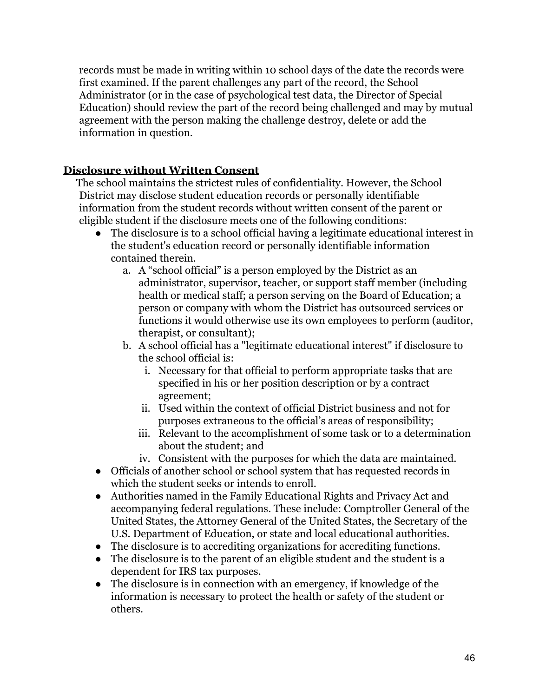records must be made in writing within 10 school days of the date the records were first examined. If the parent challenges any part of the record, the School Administrator (or in the case of psychological test data, the Director of Special Education) should review the part of the record being challenged and may by mutual agreement with the person making the challenge destroy, delete or add the information in question.

#### **Disclosure without Written Consent**

The school maintains the strictest rules of confidentiality. However, the School District may disclose student education records or personally identifiable information from the student records without written consent of the parent or eligible student if the disclosure meets one of the following conditions:

- The disclosure is to a school official having a legitimate educational interest in the student's education record or personally identifiable information contained therein.
	- a. A "school official" is a person employed by the District as an administrator, supervisor, teacher, or support staff member (including health or medical staff; a person serving on the Board of Education; a person or company with whom the District has outsourced services or functions it would otherwise use its own employees to perform (auditor, therapist, or consultant);
	- b. A school official has a "legitimate educational interest" if disclosure to the school official is:
		- i. Necessary for that official to perform appropriate tasks that are specified in his or her position description or by a contract agreement;
		- ii. Used within the context of official District business and not for purposes extraneous to the official's areas of responsibility;
		- iii. Relevant to the accomplishment of some task or to a determination about the student; and
		- iv. Consistent with the purposes for which the data are maintained.
- Officials of another school or school system that has requested records in which the student seeks or intends to enroll.
- Authorities named in the Family Educational Rights and Privacy Act and accompanying federal regulations. These include: Comptroller General of the United States, the Attorney General of the United States, the Secretary of the U.S. Department of Education, or state and local educational authorities.
- The disclosure is to accrediting organizations for accrediting functions.
- The disclosure is to the parent of an eligible student and the student is a dependent for IRS tax purposes.
- The disclosure is in connection with an emergency, if knowledge of the information is necessary to protect the health or safety of the student or others.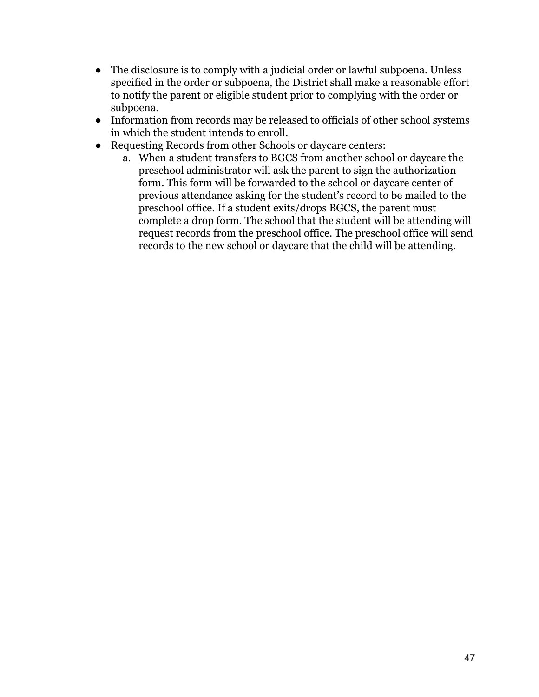- The disclosure is to comply with a judicial order or lawful subpoena. Unless specified in the order or subpoena, the District shall make a reasonable effort to notify the parent or eligible student prior to complying with the order or subpoena.
- Information from records may be released to officials of other school systems in which the student intends to enroll.
- Requesting Records from other Schools or daycare centers:
	- a. When a student transfers to BGCS from another school or daycare the preschool administrator will ask the parent to sign the authorization form. This form will be forwarded to the school or daycare center of previous attendance asking for the student's record to be mailed to the preschool office. If a student exits/drops BGCS, the parent must complete a drop form. The school that the student will be attending will request records from the preschool office. The preschool office will send records to the new school or daycare that the child will be attending.